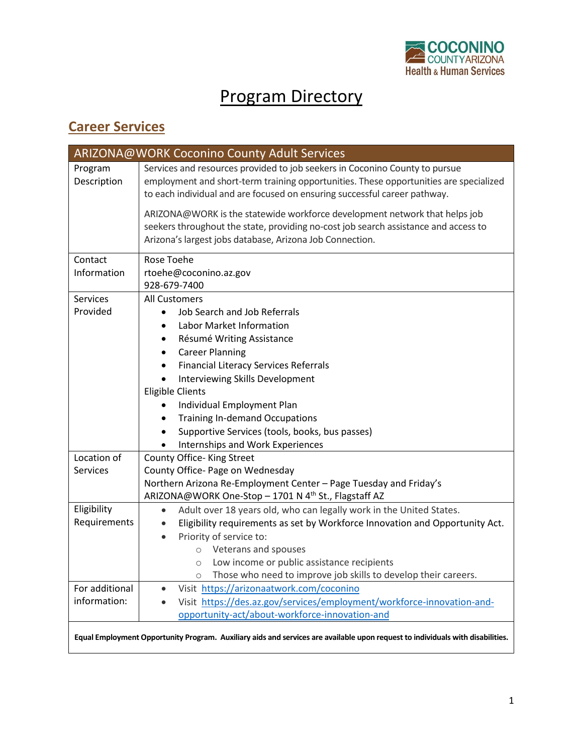

## Program Directory

## **Career Services**

|                        | ARIZONA@WORK Coconino County Adult Services                                                                                                                                                                                                       |
|------------------------|---------------------------------------------------------------------------------------------------------------------------------------------------------------------------------------------------------------------------------------------------|
| Program<br>Description | Services and resources provided to job seekers in Coconino County to pursue<br>employment and short-term training opportunities. These opportunities are specialized<br>to each individual and are focused on ensuring successful career pathway. |
|                        | ARIZONA@WORK is the statewide workforce development network that helps job<br>seekers throughout the state, providing no-cost job search assistance and access to<br>Arizona's largest jobs database, Arizona Job Connection.                     |
| Contact                | Rose Toehe                                                                                                                                                                                                                                        |
| Information            | rtoehe@coconino.az.gov                                                                                                                                                                                                                            |
|                        | 928-679-7400                                                                                                                                                                                                                                      |
| <b>Services</b>        | <b>All Customers</b>                                                                                                                                                                                                                              |
| Provided               | Job Search and Job Referrals                                                                                                                                                                                                                      |
|                        | Labor Market Information<br>٠                                                                                                                                                                                                                     |
|                        | Résumé Writing Assistance<br>٠                                                                                                                                                                                                                    |
|                        | <b>Career Planning</b><br>$\bullet$                                                                                                                                                                                                               |
|                        | <b>Financial Literacy Services Referrals</b><br>٠                                                                                                                                                                                                 |
|                        | Interviewing Skills Development<br>$\bullet$                                                                                                                                                                                                      |
|                        | <b>Eligible Clients</b>                                                                                                                                                                                                                           |
|                        | Individual Employment Plan                                                                                                                                                                                                                        |
|                        | <b>Training In-demand Occupations</b><br>٠                                                                                                                                                                                                        |
|                        | Supportive Services (tools, books, bus passes)<br>$\bullet$                                                                                                                                                                                       |
|                        | Internships and Work Experiences                                                                                                                                                                                                                  |
| Location of            | County Office- King Street                                                                                                                                                                                                                        |
| <b>Services</b>        | County Office- Page on Wednesday                                                                                                                                                                                                                  |
|                        | Northern Arizona Re-Employment Center - Page Tuesday and Friday's                                                                                                                                                                                 |
|                        | ARIZONA@WORK One-Stop - 1701 N 4 <sup>th</sup> St., Flagstaff AZ                                                                                                                                                                                  |
| Eligibility            | Adult over 18 years old, who can legally work in the United States.<br>$\bullet$                                                                                                                                                                  |
| Requirements           | Eligibility requirements as set by Workforce Innovation and Opportunity Act.<br>$\bullet$                                                                                                                                                         |
|                        | Priority of service to:<br>$\bullet$                                                                                                                                                                                                              |
|                        | o Veterans and spouses                                                                                                                                                                                                                            |
|                        | Low income or public assistance recipients<br>$\circ$                                                                                                                                                                                             |
|                        | Those who need to improve job skills to develop their careers.<br>$\circ$                                                                                                                                                                         |
| For additional         | Visit https://arizonaatwork.com/coconino<br>$\bullet$                                                                                                                                                                                             |
| information:           | Visit https://des.az.gov/services/employment/workforce-innovation-and-                                                                                                                                                                            |
|                        | opportunity-act/about-workforce-innovation-and                                                                                                                                                                                                    |
|                        | Equal Employment Opportunity Program. Auxiliary aids and services are available upon request to individuals with disabilities.                                                                                                                    |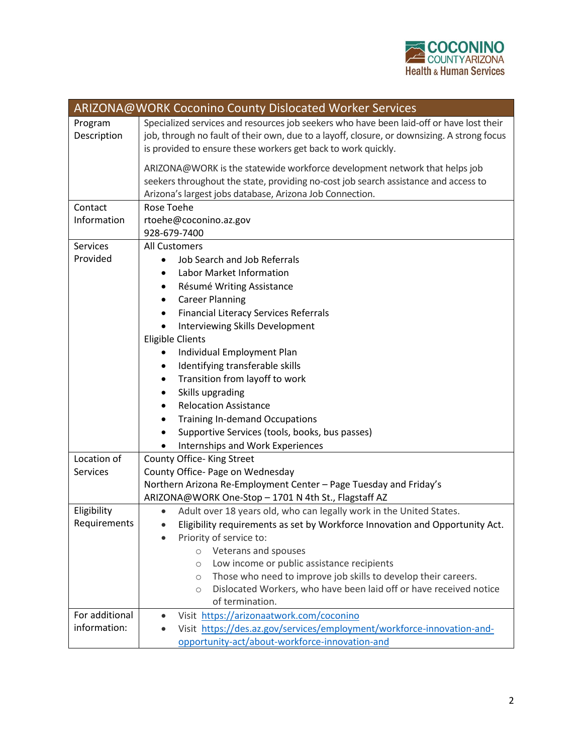

|                                | ARIZONA@WORK Coconino County Dislocated Worker Services                                                                                                                                                                                                                                                                                                                                                                                                                                                                                                                                                           |
|--------------------------------|-------------------------------------------------------------------------------------------------------------------------------------------------------------------------------------------------------------------------------------------------------------------------------------------------------------------------------------------------------------------------------------------------------------------------------------------------------------------------------------------------------------------------------------------------------------------------------------------------------------------|
| Program<br>Description         | Specialized services and resources job seekers who have been laid-off or have lost their<br>job, through no fault of their own, due to a layoff, closure, or downsizing. A strong focus<br>is provided to ensure these workers get back to work quickly.                                                                                                                                                                                                                                                                                                                                                          |
|                                | ARIZONA@WORK is the statewide workforce development network that helps job<br>seekers throughout the state, providing no-cost job search assistance and access to<br>Arizona's largest jobs database, Arizona Job Connection.                                                                                                                                                                                                                                                                                                                                                                                     |
| Contact<br>Information         | Rose Toehe<br>rtoehe@coconino.az.gov<br>928-679-7400                                                                                                                                                                                                                                                                                                                                                                                                                                                                                                                                                              |
| <b>Services</b><br>Provided    | All Customers<br>Job Search and Job Referrals<br>$\bullet$<br>Labor Market Information<br>$\bullet$<br>Résumé Writing Assistance<br>٠<br><b>Career Planning</b><br>$\bullet$<br><b>Financial Literacy Services Referrals</b><br>٠<br>Interviewing Skills Development<br><b>Eligible Clients</b><br>Individual Employment Plan<br>Identifying transferable skills<br>٠<br>Transition from layoff to work<br>$\bullet$<br>Skills upgrading<br>٠<br><b>Relocation Assistance</b><br><b>Training In-demand Occupations</b><br>٠<br>Supportive Services (tools, books, bus passes)<br>Internships and Work Experiences |
| Location of<br>Services        | County Office- King Street<br>County Office- Page on Wednesday<br>Northern Arizona Re-Employment Center - Page Tuesday and Friday's<br>ARIZONA@WORK One-Stop - 1701 N 4th St., Flagstaff AZ                                                                                                                                                                                                                                                                                                                                                                                                                       |
| Eligibility<br>Requirements    | Adult over 18 years old, who can legally work in the United States.<br>Eligibility requirements as set by Workforce Innovation and Opportunity Act.<br>Priority of service to:<br>o Veterans and spouses<br>Low income or public assistance recipients<br>$\circ$<br>Those who need to improve job skills to develop their careers.<br>$\circlearrowright$<br>Dislocated Workers, who have been laid off or have received notice<br>$\circ$<br>of termination.                                                                                                                                                    |
| For additional<br>information: | Visit https://arizonaatwork.com/coconino<br>Visit https://des.az.gov/services/employment/workforce-innovation-and-<br>opportunity-act/about-workforce-innovation-and                                                                                                                                                                                                                                                                                                                                                                                                                                              |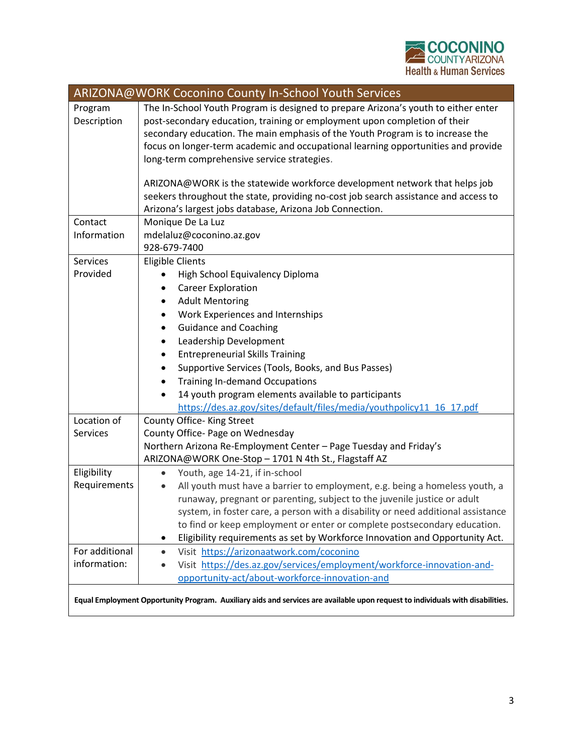

|                        | ARIZONA@WORK Coconino County In-School Youth Services                                                                                                                                                                                                                                                                                  |
|------------------------|----------------------------------------------------------------------------------------------------------------------------------------------------------------------------------------------------------------------------------------------------------------------------------------------------------------------------------------|
| Program<br>Description | The In-School Youth Program is designed to prepare Arizona's youth to either enter<br>post-secondary education, training or employment upon completion of their<br>secondary education. The main emphasis of the Youth Program is to increase the<br>focus on longer-term academic and occupational learning opportunities and provide |
|                        | long-term comprehensive service strategies.                                                                                                                                                                                                                                                                                            |
|                        | ARIZONA@WORK is the statewide workforce development network that helps job                                                                                                                                                                                                                                                             |
|                        | seekers throughout the state, providing no-cost job search assistance and access to                                                                                                                                                                                                                                                    |
|                        | Arizona's largest jobs database, Arizona Job Connection.                                                                                                                                                                                                                                                                               |
| Contact                | Monique De La Luz                                                                                                                                                                                                                                                                                                                      |
| Information            | mdelaluz@coconino.az.gov                                                                                                                                                                                                                                                                                                               |
|                        | 928-679-7400                                                                                                                                                                                                                                                                                                                           |
| Services               | <b>Eligible Clients</b>                                                                                                                                                                                                                                                                                                                |
| Provided               | High School Equivalency Diploma                                                                                                                                                                                                                                                                                                        |
|                        | <b>Career Exploration</b><br>٠                                                                                                                                                                                                                                                                                                         |
|                        | <b>Adult Mentoring</b><br>٠                                                                                                                                                                                                                                                                                                            |
|                        | Work Experiences and Internships<br>٠                                                                                                                                                                                                                                                                                                  |
|                        | <b>Guidance and Coaching</b><br>$\bullet$                                                                                                                                                                                                                                                                                              |
|                        | Leadership Development<br>٠                                                                                                                                                                                                                                                                                                            |
|                        | <b>Entrepreneurial Skills Training</b>                                                                                                                                                                                                                                                                                                 |
|                        | Supportive Services (Tools, Books, and Bus Passes)<br>٠                                                                                                                                                                                                                                                                                |
|                        | <b>Training In-demand Occupations</b><br>٠                                                                                                                                                                                                                                                                                             |
|                        | 14 youth program elements available to participants                                                                                                                                                                                                                                                                                    |
|                        | https://des.az.gov/sites/default/files/media/youthpolicy11_16_17.pdf                                                                                                                                                                                                                                                                   |
| Location of            | County Office- King Street                                                                                                                                                                                                                                                                                                             |
| Services               | County Office- Page on Wednesday                                                                                                                                                                                                                                                                                                       |
|                        | Northern Arizona Re-Employment Center - Page Tuesday and Friday's                                                                                                                                                                                                                                                                      |
|                        | ARIZONA@WORK One-Stop - 1701 N 4th St., Flagstaff AZ                                                                                                                                                                                                                                                                                   |
| Eligibility            | Youth, age 14-21, if in-school<br>$\bullet$                                                                                                                                                                                                                                                                                            |
| Requirements           | All youth must have a barrier to employment, e.g. being a homeless youth, a<br>$\bullet$                                                                                                                                                                                                                                               |
|                        | runaway, pregnant or parenting, subject to the juvenile justice or adult<br>system, in foster care, a person with a disability or need additional assistance                                                                                                                                                                           |
|                        | to find or keep employment or enter or complete postsecondary education.                                                                                                                                                                                                                                                               |
|                        | Eligibility requirements as set by Workforce Innovation and Opportunity Act.<br>٠                                                                                                                                                                                                                                                      |
| For additional         | Visit https://arizonaatwork.com/coconino<br>$\bullet$                                                                                                                                                                                                                                                                                  |
| information:           | Visit https://des.az.gov/services/employment/workforce-innovation-and-<br>$\bullet$                                                                                                                                                                                                                                                    |
|                        | opportunity-act/about-workforce-innovation-and                                                                                                                                                                                                                                                                                         |
|                        | Equal Employment Opportunity Program. Auxiliary aids and services are available upon request to individuals with disabilities.                                                                                                                                                                                                         |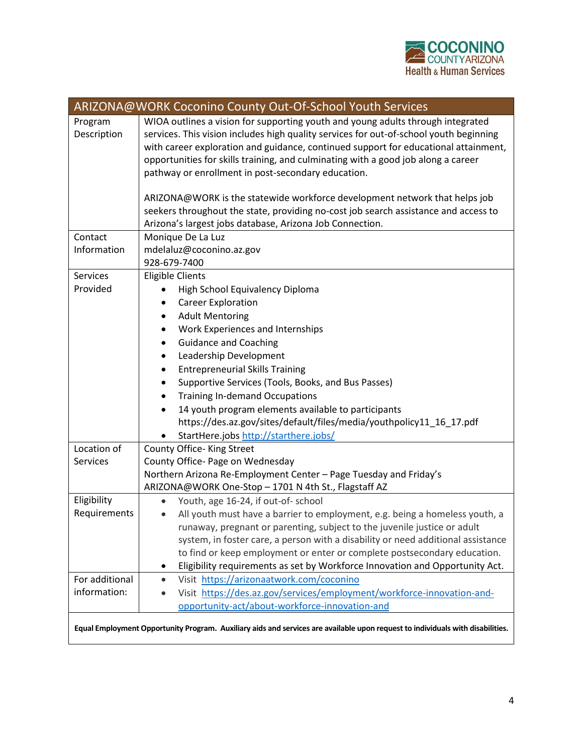

|                        | ARIZONA@WORK Coconino County Out-Of-School Youth Services                                                                                                                                                                                                                                                                                                                                                   |
|------------------------|-------------------------------------------------------------------------------------------------------------------------------------------------------------------------------------------------------------------------------------------------------------------------------------------------------------------------------------------------------------------------------------------------------------|
| Program<br>Description | WIOA outlines a vision for supporting youth and young adults through integrated<br>services. This vision includes high quality services for out-of-school youth beginning<br>with career exploration and guidance, continued support for educational attainment,<br>opportunities for skills training, and culminating with a good job along a career<br>pathway or enrollment in post-secondary education. |
|                        | ARIZONA@WORK is the statewide workforce development network that helps job<br>seekers throughout the state, providing no-cost job search assistance and access to<br>Arizona's largest jobs database, Arizona Job Connection.                                                                                                                                                                               |
| Contact                | Monique De La Luz                                                                                                                                                                                                                                                                                                                                                                                           |
| Information            | mdelaluz@coconino.az.gov<br>928-679-7400                                                                                                                                                                                                                                                                                                                                                                    |
| Services               | <b>Eligible Clients</b>                                                                                                                                                                                                                                                                                                                                                                                     |
| Provided               | High School Equivalency Diploma                                                                                                                                                                                                                                                                                                                                                                             |
|                        | <b>Career Exploration</b><br>٠                                                                                                                                                                                                                                                                                                                                                                              |
|                        | <b>Adult Mentoring</b><br>٠                                                                                                                                                                                                                                                                                                                                                                                 |
|                        | Work Experiences and Internships                                                                                                                                                                                                                                                                                                                                                                            |
|                        | <b>Guidance and Coaching</b><br>$\bullet$                                                                                                                                                                                                                                                                                                                                                                   |
|                        | Leadership Development<br>٠                                                                                                                                                                                                                                                                                                                                                                                 |
|                        | <b>Entrepreneurial Skills Training</b>                                                                                                                                                                                                                                                                                                                                                                      |
|                        | Supportive Services (Tools, Books, and Bus Passes)<br>٠                                                                                                                                                                                                                                                                                                                                                     |
|                        | <b>Training In-demand Occupations</b>                                                                                                                                                                                                                                                                                                                                                                       |
|                        | 14 youth program elements available to participants                                                                                                                                                                                                                                                                                                                                                         |
|                        | https://des.az.gov/sites/default/files/media/youthpolicy11_16_17.pdf                                                                                                                                                                                                                                                                                                                                        |
|                        | StartHere.jobs http://starthere.jobs/                                                                                                                                                                                                                                                                                                                                                                       |
| Location of            | County Office- King Street                                                                                                                                                                                                                                                                                                                                                                                  |
| Services               | County Office- Page on Wednesday                                                                                                                                                                                                                                                                                                                                                                            |
|                        | Northern Arizona Re-Employment Center - Page Tuesday and Friday's                                                                                                                                                                                                                                                                                                                                           |
|                        | ARIZONA@WORK One-Stop - 1701 N 4th St., Flagstaff AZ                                                                                                                                                                                                                                                                                                                                                        |
| Eligibility            | Youth, age 16-24, if out-of- school                                                                                                                                                                                                                                                                                                                                                                         |
| Requirements           | All youth must have a barrier to employment, e.g. being a homeless youth, a<br>$\bullet$                                                                                                                                                                                                                                                                                                                    |
|                        | runaway, pregnant or parenting, subject to the juvenile justice or adult<br>system, in foster care, a person with a disability or need additional assistance                                                                                                                                                                                                                                                |
|                        | to find or keep employment or enter or complete postsecondary education.                                                                                                                                                                                                                                                                                                                                    |
|                        | Eligibility requirements as set by Workforce Innovation and Opportunity Act.<br>٠                                                                                                                                                                                                                                                                                                                           |
| For additional         | Visit https://arizonaatwork.com/coconino<br>$\bullet$                                                                                                                                                                                                                                                                                                                                                       |
| information:           | Visit https://des.az.gov/services/employment/workforce-innovation-and-                                                                                                                                                                                                                                                                                                                                      |
|                        | opportunity-act/about-workforce-innovation-and                                                                                                                                                                                                                                                                                                                                                              |
|                        | Equal Employment Opportunity Program. Auxiliary aids and services are available upon request to individuals with disabilities.                                                                                                                                                                                                                                                                              |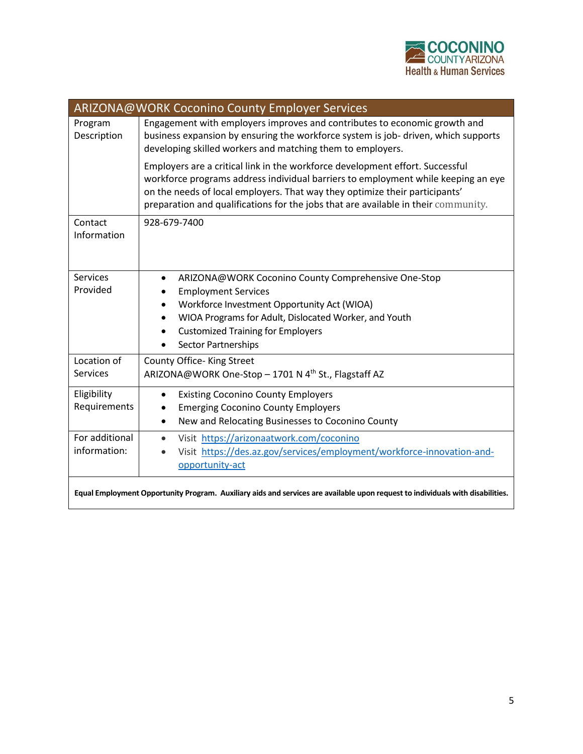

|                                | ARIZONA@WORK Coconino County Employer Services                                                                                                                                                                                                                                                                                          |
|--------------------------------|-----------------------------------------------------------------------------------------------------------------------------------------------------------------------------------------------------------------------------------------------------------------------------------------------------------------------------------------|
| Program<br>Description         | Engagement with employers improves and contributes to economic growth and<br>business expansion by ensuring the workforce system is job- driven, which supports<br>developing skilled workers and matching them to employers.                                                                                                           |
|                                | Employers are a critical link in the workforce development effort. Successful<br>workforce programs address individual barriers to employment while keeping an eye<br>on the needs of local employers. That way they optimize their participants'<br>preparation and qualifications for the jobs that are available in their community. |
| Contact<br>Information         | 928-679-7400                                                                                                                                                                                                                                                                                                                            |
| <b>Services</b><br>Provided    | ARIZONA@WORK Coconino County Comprehensive One-Stop<br>$\bullet$<br><b>Employment Services</b><br>$\bullet$<br>Workforce Investment Opportunity Act (WIOA)<br>$\bullet$<br>WIOA Programs for Adult, Dislocated Worker, and Youth<br>$\bullet$<br><b>Customized Training for Employers</b><br><b>Sector Partnerships</b>                 |
| Location of<br><b>Services</b> | County Office- King Street<br>ARIZONA@WORK One-Stop - 1701 N 4 <sup>th</sup> St., Flagstaff AZ                                                                                                                                                                                                                                          |
| Eligibility<br>Requirements    | <b>Existing Coconino County Employers</b><br>$\bullet$<br><b>Emerging Coconino County Employers</b><br>$\bullet$<br>New and Relocating Businesses to Coconino County<br>$\bullet$                                                                                                                                                       |
| For additional<br>information: | Visit https://arizonaatwork.com/coconino<br>$\bullet$<br>Visit https://des.az.gov/services/employment/workforce-innovation-and-<br>opportunity-act                                                                                                                                                                                      |
|                                | Equal Employment Opportunity Program. Auxiliary aids and services are available upon request to individuals with disabilities.                                                                                                                                                                                                          |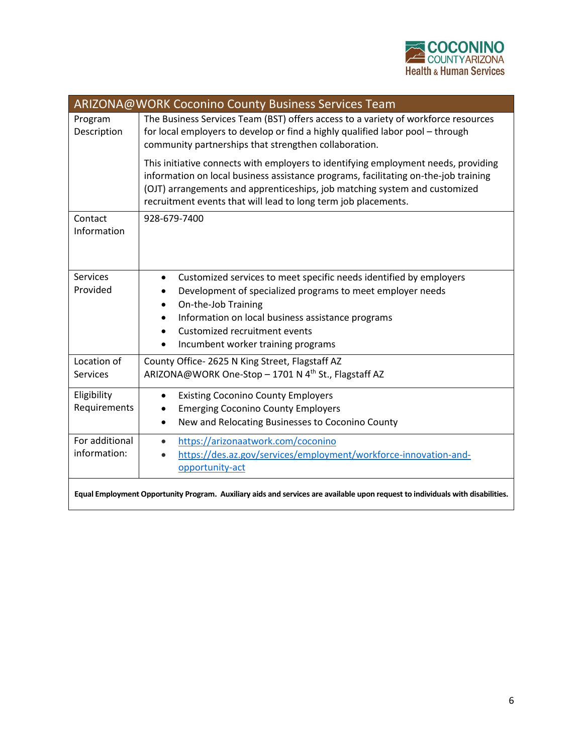

|                                | ARIZONA@WORK Coconino County Business Services Team                                                                                                                                                                                                                                                                       |
|--------------------------------|---------------------------------------------------------------------------------------------------------------------------------------------------------------------------------------------------------------------------------------------------------------------------------------------------------------------------|
| Program<br>Description         | The Business Services Team (BST) offers access to a variety of workforce resources<br>for local employers to develop or find a highly qualified labor pool - through<br>community partnerships that strengthen collaboration.                                                                                             |
|                                | This initiative connects with employers to identifying employment needs, providing<br>information on local business assistance programs, facilitating on-the-job training<br>(OJT) arrangements and apprenticeships, job matching system and customized<br>recruitment events that will lead to long term job placements. |
| Contact<br>Information         | 928-679-7400                                                                                                                                                                                                                                                                                                              |
| <b>Services</b>                | Customized services to meet specific needs identified by employers<br>$\bullet$                                                                                                                                                                                                                                           |
| Provided                       | Development of specialized programs to meet employer needs                                                                                                                                                                                                                                                                |
|                                | On-the-Job Training<br>$\bullet$                                                                                                                                                                                                                                                                                          |
|                                | Information on local business assistance programs<br>$\bullet$<br>Customized recruitment events                                                                                                                                                                                                                           |
|                                | $\bullet$<br>Incumbent worker training programs<br>٠                                                                                                                                                                                                                                                                      |
|                                |                                                                                                                                                                                                                                                                                                                           |
| Location of<br><b>Services</b> | County Office- 2625 N King Street, Flagstaff AZ<br>ARIZONA@WORK One-Stop - 1701 N 4 <sup>th</sup> St., Flagstaff AZ                                                                                                                                                                                                       |
|                                |                                                                                                                                                                                                                                                                                                                           |
| Eligibility                    | <b>Existing Coconino County Employers</b><br>$\bullet$                                                                                                                                                                                                                                                                    |
| Requirements                   | <b>Emerging Coconino County Employers</b><br>٠                                                                                                                                                                                                                                                                            |
|                                | New and Relocating Businesses to Coconino County<br>$\bullet$                                                                                                                                                                                                                                                             |
| For additional                 | https://arizonaatwork.com/coconino<br>$\bullet$                                                                                                                                                                                                                                                                           |
| information:                   | https://des.az.gov/services/employment/workforce-innovation-and-<br>$\bullet$                                                                                                                                                                                                                                             |
|                                | opportunity-act                                                                                                                                                                                                                                                                                                           |
|                                | Equal Employment Opportunity Program. Auxiliary aids and services are available upon request to individuals with disabilities.                                                                                                                                                                                            |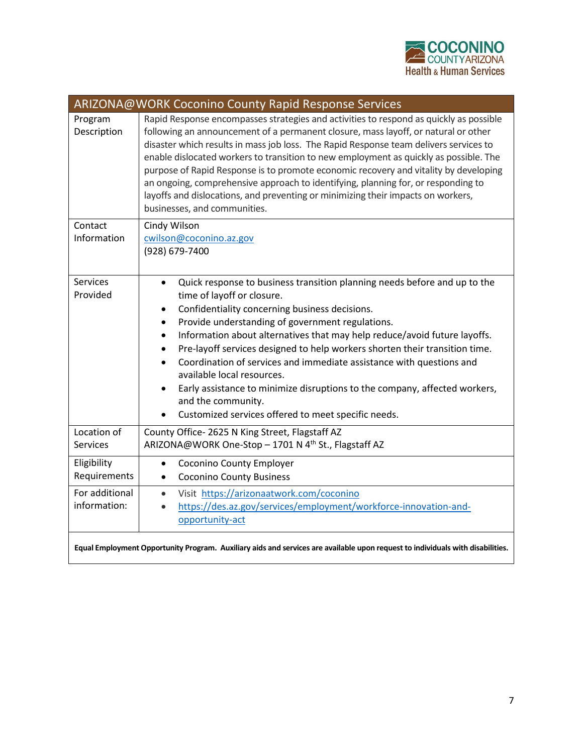

| ARIZONA@WORK Coconino County Rapid Response Services |                                                                                                                                                                                                                                                                                                                                                                                                                                                                                                                                                                                                                                                                 |  |
|------------------------------------------------------|-----------------------------------------------------------------------------------------------------------------------------------------------------------------------------------------------------------------------------------------------------------------------------------------------------------------------------------------------------------------------------------------------------------------------------------------------------------------------------------------------------------------------------------------------------------------------------------------------------------------------------------------------------------------|--|
| Program<br>Description                               | Rapid Response encompasses strategies and activities to respond as quickly as possible<br>following an announcement of a permanent closure, mass layoff, or natural or other<br>disaster which results in mass job loss. The Rapid Response team delivers services to<br>enable dislocated workers to transition to new employment as quickly as possible. The<br>purpose of Rapid Response is to promote economic recovery and vitality by developing<br>an ongoing, comprehensive approach to identifying, planning for, or responding to<br>layoffs and dislocations, and preventing or minimizing their impacts on workers,<br>businesses, and communities. |  |
| Contact                                              | Cindy Wilson                                                                                                                                                                                                                                                                                                                                                                                                                                                                                                                                                                                                                                                    |  |
| Information                                          | cwilson@coconino.az.gov<br>(928) 679-7400                                                                                                                                                                                                                                                                                                                                                                                                                                                                                                                                                                                                                       |  |
| <b>Services</b>                                      | Quick response to business transition planning needs before and up to the<br>$\bullet$                                                                                                                                                                                                                                                                                                                                                                                                                                                                                                                                                                          |  |
| Provided                                             | time of layoff or closure.<br>Confidentiality concerning business decisions.<br>$\bullet$                                                                                                                                                                                                                                                                                                                                                                                                                                                                                                                                                                       |  |
|                                                      | Provide understanding of government regulations.<br>٠                                                                                                                                                                                                                                                                                                                                                                                                                                                                                                                                                                                                           |  |
|                                                      | Information about alternatives that may help reduce/avoid future layoffs.<br>$\bullet$                                                                                                                                                                                                                                                                                                                                                                                                                                                                                                                                                                          |  |
|                                                      | Pre-layoff services designed to help workers shorten their transition time.<br>$\bullet$<br>Coordination of services and immediate assistance with questions and<br>$\bullet$                                                                                                                                                                                                                                                                                                                                                                                                                                                                                   |  |
|                                                      | available local resources.<br>Early assistance to minimize disruptions to the company, affected workers,                                                                                                                                                                                                                                                                                                                                                                                                                                                                                                                                                        |  |
|                                                      | and the community.                                                                                                                                                                                                                                                                                                                                                                                                                                                                                                                                                                                                                                              |  |
|                                                      | Customized services offered to meet specific needs.                                                                                                                                                                                                                                                                                                                                                                                                                                                                                                                                                                                                             |  |
| Location of                                          | County Office-2625 N King Street, Flagstaff AZ                                                                                                                                                                                                                                                                                                                                                                                                                                                                                                                                                                                                                  |  |
| <b>Services</b>                                      | ARIZONA@WORK One-Stop - 1701 N 4 <sup>th</sup> St., Flagstaff AZ                                                                                                                                                                                                                                                                                                                                                                                                                                                                                                                                                                                                |  |
| Eligibility<br>Requirements                          | <b>Coconino County Employer</b><br>$\bullet$                                                                                                                                                                                                                                                                                                                                                                                                                                                                                                                                                                                                                    |  |
| For additional                                       | <b>Coconino County Business</b><br>$\bullet$                                                                                                                                                                                                                                                                                                                                                                                                                                                                                                                                                                                                                    |  |
| information:                                         | Visit https://arizonaatwork.com/coconino<br>$\bullet$<br>https://des.az.gov/services/employment/workforce-innovation-and-                                                                                                                                                                                                                                                                                                                                                                                                                                                                                                                                       |  |
|                                                      | opportunity-act                                                                                                                                                                                                                                                                                                                                                                                                                                                                                                                                                                                                                                                 |  |
|                                                      | Equal Employment Opportunity Program. Auxiliary aids and services are available upon request to individuals with disabilities.                                                                                                                                                                                                                                                                                                                                                                                                                                                                                                                                  |  |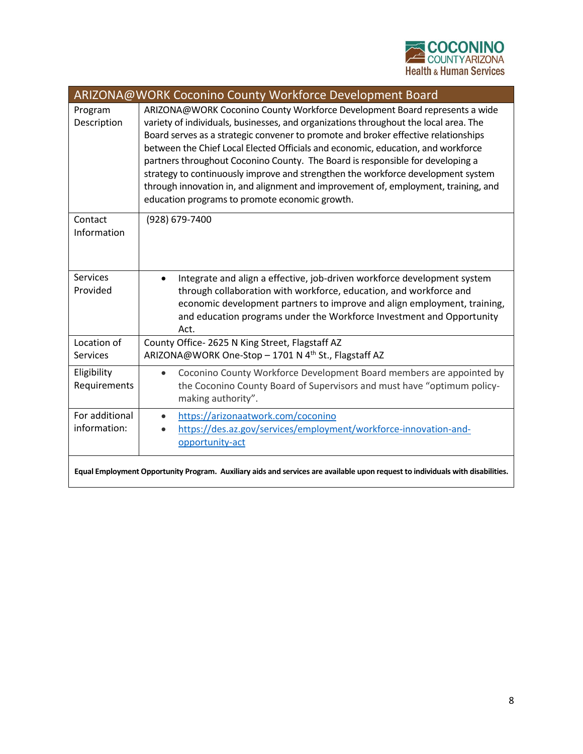

| ARIZONA@WORK Coconino County Workforce Development Board |                                                                                                                                                                                                                                                                                                                                                                                                                                                                                                                                                                                                                                                            |  |
|----------------------------------------------------------|------------------------------------------------------------------------------------------------------------------------------------------------------------------------------------------------------------------------------------------------------------------------------------------------------------------------------------------------------------------------------------------------------------------------------------------------------------------------------------------------------------------------------------------------------------------------------------------------------------------------------------------------------------|--|
| Program<br>Description                                   | ARIZONA@WORK Coconino County Workforce Development Board represents a wide<br>variety of individuals, businesses, and organizations throughout the local area. The<br>Board serves as a strategic convener to promote and broker effective relationships<br>between the Chief Local Elected Officials and economic, education, and workforce<br>partners throughout Coconino County. The Board is responsible for developing a<br>strategy to continuously improve and strengthen the workforce development system<br>through innovation in, and alignment and improvement of, employment, training, and<br>education programs to promote economic growth. |  |
| Contact<br>Information                                   | (928) 679-7400                                                                                                                                                                                                                                                                                                                                                                                                                                                                                                                                                                                                                                             |  |
| <b>Services</b><br>Provided                              | Integrate and align a effective, job-driven workforce development system<br>$\bullet$<br>through collaboration with workforce, education, and workforce and<br>economic development partners to improve and align employment, training,<br>and education programs under the Workforce Investment and Opportunity<br>Act.                                                                                                                                                                                                                                                                                                                                   |  |
| Location of<br><b>Services</b>                           | County Office-2625 N King Street, Flagstaff AZ<br>ARIZONA@WORK One-Stop - 1701 N 4 <sup>th</sup> St., Flagstaff AZ                                                                                                                                                                                                                                                                                                                                                                                                                                                                                                                                         |  |
| Eligibility<br>Requirements                              | Coconino County Workforce Development Board members are appointed by<br>$\bullet$<br>the Coconino County Board of Supervisors and must have "optimum policy-<br>making authority".                                                                                                                                                                                                                                                                                                                                                                                                                                                                         |  |
| For additional<br>information:                           | https://arizonaatwork.com/coconino<br>$\bullet$<br>https://des.az.gov/services/employment/workforce-innovation-and-<br>opportunity-act                                                                                                                                                                                                                                                                                                                                                                                                                                                                                                                     |  |
|                                                          | Equal Employment Opportunity Program. Auxiliary aids and services are available upon request to individuals with disabilities.                                                                                                                                                                                                                                                                                                                                                                                                                                                                                                                             |  |

I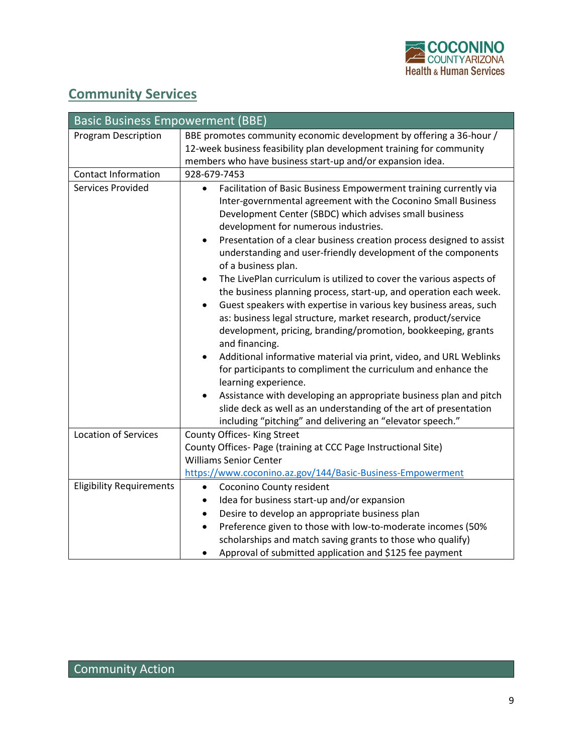

## **Community Services**

| <b>Basic Business Empowerment (BBE)</b> |                                                                                                                                                                                                                                                                                                                                                                                                                                                                                                                                                                                                                                                                                                                                                                                                                                                                                                                                                                                                                                                                                                                            |  |
|-----------------------------------------|----------------------------------------------------------------------------------------------------------------------------------------------------------------------------------------------------------------------------------------------------------------------------------------------------------------------------------------------------------------------------------------------------------------------------------------------------------------------------------------------------------------------------------------------------------------------------------------------------------------------------------------------------------------------------------------------------------------------------------------------------------------------------------------------------------------------------------------------------------------------------------------------------------------------------------------------------------------------------------------------------------------------------------------------------------------------------------------------------------------------------|--|
| <b>Program Description</b>              | BBE promotes community economic development by offering a 36-hour /                                                                                                                                                                                                                                                                                                                                                                                                                                                                                                                                                                                                                                                                                                                                                                                                                                                                                                                                                                                                                                                        |  |
|                                         | 12-week business feasibility plan development training for community                                                                                                                                                                                                                                                                                                                                                                                                                                                                                                                                                                                                                                                                                                                                                                                                                                                                                                                                                                                                                                                       |  |
|                                         | members who have business start-up and/or expansion idea.                                                                                                                                                                                                                                                                                                                                                                                                                                                                                                                                                                                                                                                                                                                                                                                                                                                                                                                                                                                                                                                                  |  |
| <b>Contact Information</b>              | 928-679-7453                                                                                                                                                                                                                                                                                                                                                                                                                                                                                                                                                                                                                                                                                                                                                                                                                                                                                                                                                                                                                                                                                                               |  |
| Services Provided                       | Facilitation of Basic Business Empowerment training currently via<br>$\bullet$<br>Inter-governmental agreement with the Coconino Small Business<br>Development Center (SBDC) which advises small business<br>development for numerous industries.<br>Presentation of a clear business creation process designed to assist<br>$\bullet$<br>understanding and user-friendly development of the components<br>of a business plan.<br>The LivePlan curriculum is utilized to cover the various aspects of<br>the business planning process, start-up, and operation each week.<br>Guest speakers with expertise in various key business areas, such<br>as: business legal structure, market research, product/service<br>development, pricing, branding/promotion, bookkeeping, grants<br>and financing.<br>Additional informative material via print, video, and URL Weblinks<br>for participants to compliment the curriculum and enhance the<br>learning experience.<br>Assistance with developing an appropriate business plan and pitch<br>$\bullet$<br>slide deck as well as an understanding of the art of presentation |  |
| <b>Location of Services</b>             | including "pitching" and delivering an "elevator speech."<br>County Offices- King Street                                                                                                                                                                                                                                                                                                                                                                                                                                                                                                                                                                                                                                                                                                                                                                                                                                                                                                                                                                                                                                   |  |
|                                         | County Offices- Page (training at CCC Page Instructional Site)                                                                                                                                                                                                                                                                                                                                                                                                                                                                                                                                                                                                                                                                                                                                                                                                                                                                                                                                                                                                                                                             |  |
|                                         | <b>Williams Senior Center</b>                                                                                                                                                                                                                                                                                                                                                                                                                                                                                                                                                                                                                                                                                                                                                                                                                                                                                                                                                                                                                                                                                              |  |
|                                         | https://www.coconino.az.gov/144/Basic-Business-Empowerment                                                                                                                                                                                                                                                                                                                                                                                                                                                                                                                                                                                                                                                                                                                                                                                                                                                                                                                                                                                                                                                                 |  |
| <b>Eligibility Requirements</b>         | Coconino County resident<br>$\bullet$                                                                                                                                                                                                                                                                                                                                                                                                                                                                                                                                                                                                                                                                                                                                                                                                                                                                                                                                                                                                                                                                                      |  |
|                                         | Idea for business start-up and/or expansion                                                                                                                                                                                                                                                                                                                                                                                                                                                                                                                                                                                                                                                                                                                                                                                                                                                                                                                                                                                                                                                                                |  |
|                                         | Desire to develop an appropriate business plan<br>٠                                                                                                                                                                                                                                                                                                                                                                                                                                                                                                                                                                                                                                                                                                                                                                                                                                                                                                                                                                                                                                                                        |  |
|                                         | Preference given to those with low-to-moderate incomes (50%                                                                                                                                                                                                                                                                                                                                                                                                                                                                                                                                                                                                                                                                                                                                                                                                                                                                                                                                                                                                                                                                |  |
|                                         | scholarships and match saving grants to those who qualify)                                                                                                                                                                                                                                                                                                                                                                                                                                                                                                                                                                                                                                                                                                                                                                                                                                                                                                                                                                                                                                                                 |  |
|                                         | Approval of submitted application and \$125 fee payment                                                                                                                                                                                                                                                                                                                                                                                                                                                                                                                                                                                                                                                                                                                                                                                                                                                                                                                                                                                                                                                                    |  |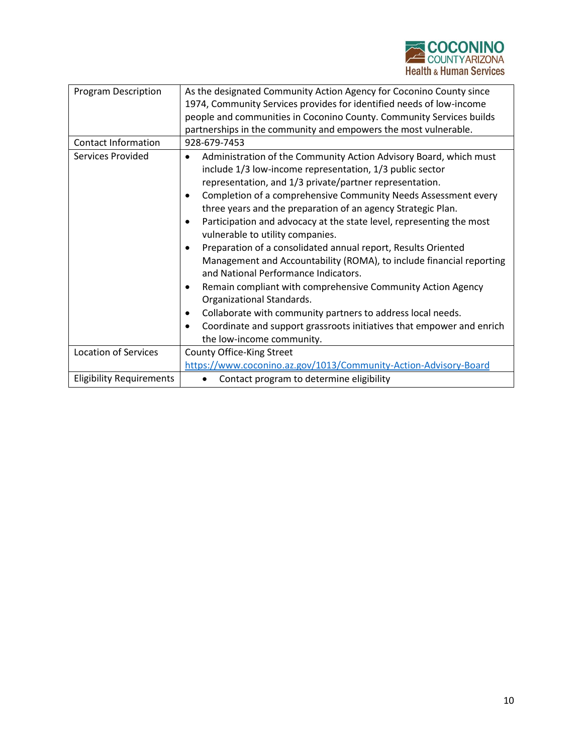

| <b>Program Description</b>      | As the designated Community Action Agency for Coconino County since                                                                                                                        |
|---------------------------------|--------------------------------------------------------------------------------------------------------------------------------------------------------------------------------------------|
|                                 | 1974, Community Services provides for identified needs of low-income                                                                                                                       |
|                                 | people and communities in Coconino County. Community Services builds                                                                                                                       |
|                                 | partnerships in the community and empowers the most vulnerable.                                                                                                                            |
| <b>Contact Information</b>      | 928-679-7453                                                                                                                                                                               |
| Services Provided               | Administration of the Community Action Advisory Board, which must<br>include 1/3 low-income representation, 1/3 public sector                                                              |
|                                 | representation, and 1/3 private/partner representation.                                                                                                                                    |
|                                 | Completion of a comprehensive Community Needs Assessment every<br>$\bullet$<br>three years and the preparation of an agency Strategic Plan.                                                |
|                                 | Participation and advocacy at the state level, representing the most<br>vulnerable to utility companies.                                                                                   |
|                                 | Preparation of a consolidated annual report, Results Oriented<br>$\bullet$<br>Management and Accountability (ROMA), to include financial reporting<br>and National Performance Indicators. |
|                                 | Remain compliant with comprehensive Community Action Agency<br>Organizational Standards.                                                                                                   |
|                                 | Collaborate with community partners to address local needs.<br>$\bullet$                                                                                                                   |
|                                 | Coordinate and support grassroots initiatives that empower and enrich<br>٠                                                                                                                 |
|                                 | the low-income community.                                                                                                                                                                  |
| <b>Location of Services</b>     | County Office-King Street                                                                                                                                                                  |
|                                 | https://www.coconino.az.gov/1013/Community-Action-Advisory-Board                                                                                                                           |
| <b>Eligibility Requirements</b> | Contact program to determine eligibility                                                                                                                                                   |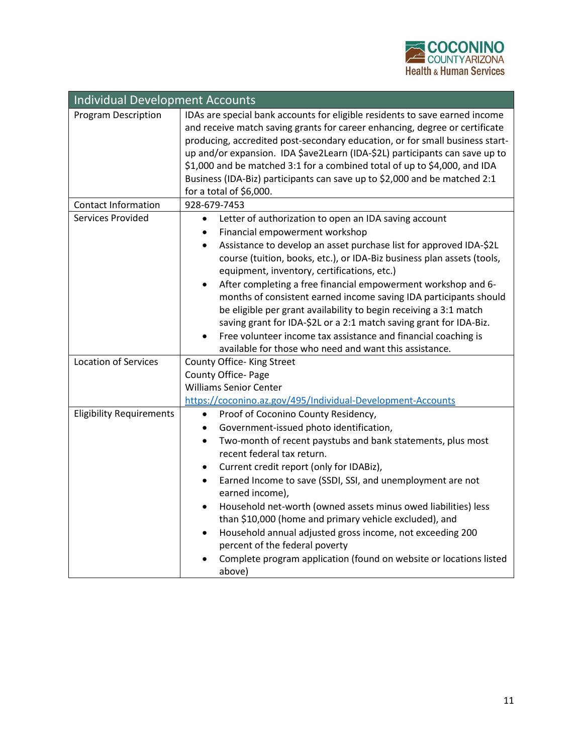

| <b>Individual Development Accounts</b> |                                                                                                                                                                                                                                                                                                                                                                                                                                                                                                                                                                                                                                                                                                                                                         |  |
|----------------------------------------|---------------------------------------------------------------------------------------------------------------------------------------------------------------------------------------------------------------------------------------------------------------------------------------------------------------------------------------------------------------------------------------------------------------------------------------------------------------------------------------------------------------------------------------------------------------------------------------------------------------------------------------------------------------------------------------------------------------------------------------------------------|--|
| Program Description                    | IDAs are special bank accounts for eligible residents to save earned income<br>and receive match saving grants for career enhancing, degree or certificate<br>producing, accredited post-secondary education, or for small business start-<br>up and/or expansion. IDA \$ave2Learn (IDA-\$2L) participants can save up to<br>\$1,000 and be matched 3:1 for a combined total of up to \$4,000, and IDA<br>Business (IDA-Biz) participants can save up to \$2,000 and be matched 2:1<br>for a total of \$6,000.                                                                                                                                                                                                                                          |  |
| <b>Contact Information</b>             | 928-679-7453                                                                                                                                                                                                                                                                                                                                                                                                                                                                                                                                                                                                                                                                                                                                            |  |
| Services Provided                      | Letter of authorization to open an IDA saving account<br>$\bullet$<br>Financial empowerment workshop<br>$\bullet$<br>Assistance to develop an asset purchase list for approved IDA-\$2L<br>$\bullet$<br>course (tuition, books, etc.), or IDA-Biz business plan assets (tools,<br>equipment, inventory, certifications, etc.)<br>After completing a free financial empowerment workshop and 6-<br>$\bullet$<br>months of consistent earned income saving IDA participants should<br>be eligible per grant availability to begin receiving a 3:1 match<br>saving grant for IDA-\$2L or a 2:1 match saving grant for IDA-Biz.<br>Free volunteer income tax assistance and financial coaching is<br>available for those who need and want this assistance. |  |
| <b>Location of Services</b>            | County Office-King Street                                                                                                                                                                                                                                                                                                                                                                                                                                                                                                                                                                                                                                                                                                                               |  |
|                                        | County Office- Page<br><b>Williams Senior Center</b><br>https://coconino.az.gov/495/Individual-Development-Accounts                                                                                                                                                                                                                                                                                                                                                                                                                                                                                                                                                                                                                                     |  |
| <b>Eligibility Requirements</b>        | Proof of Coconino County Residency,<br>$\bullet$<br>Government-issued photo identification,<br>$\bullet$<br>Two-month of recent paystubs and bank statements, plus most<br>$\bullet$<br>recent federal tax return.<br>Current credit report (only for IDABiz),<br>$\bullet$<br>Earned Income to save (SSDI, SSI, and unemployment are not<br>$\bullet$<br>earned income),<br>Household net-worth (owned assets minus owed liabilities) less<br>than \$10,000 (home and primary vehicle excluded), and<br>Household annual adjusted gross income, not exceeding 200<br>$\bullet$<br>percent of the federal poverty<br>Complete program application (found on website or locations listed<br>above)                                                       |  |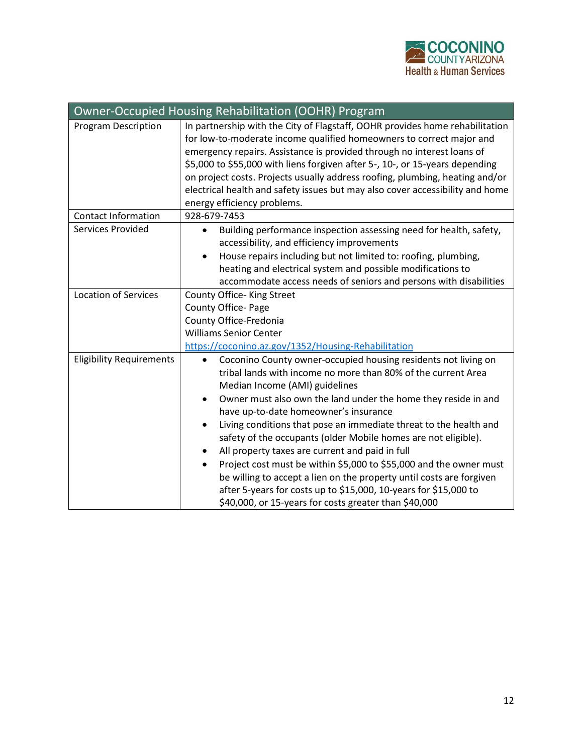

| Owner-Occupied Housing Rehabilitation (OOHR) Program |                                                                                                                                                                                                                                                                                                                                                                                                                                                                                                                                                                                                                                                                                                                                                                             |  |
|------------------------------------------------------|-----------------------------------------------------------------------------------------------------------------------------------------------------------------------------------------------------------------------------------------------------------------------------------------------------------------------------------------------------------------------------------------------------------------------------------------------------------------------------------------------------------------------------------------------------------------------------------------------------------------------------------------------------------------------------------------------------------------------------------------------------------------------------|--|
| <b>Program Description</b>                           | In partnership with the City of Flagstaff, OOHR provides home rehabilitation<br>for low-to-moderate income qualified homeowners to correct major and<br>emergency repairs. Assistance is provided through no interest loans of<br>\$5,000 to \$55,000 with liens forgiven after 5-, 10-, or 15-years depending<br>on project costs. Projects usually address roofing, plumbing, heating and/or<br>electrical health and safety issues but may also cover accessibility and home<br>energy efficiency problems.                                                                                                                                                                                                                                                              |  |
| <b>Contact Information</b>                           | 928-679-7453                                                                                                                                                                                                                                                                                                                                                                                                                                                                                                                                                                                                                                                                                                                                                                |  |
| Services Provided                                    | Building performance inspection assessing need for health, safety,<br>$\bullet$<br>accessibility, and efficiency improvements<br>House repairs including but not limited to: roofing, plumbing,<br>heating and electrical system and possible modifications to<br>accommodate access needs of seniors and persons with disabilities                                                                                                                                                                                                                                                                                                                                                                                                                                         |  |
| <b>Location of Services</b>                          | County Office-King Street<br>County Office- Page<br>County Office-Fredonia<br><b>Williams Senior Center</b><br>https://coconino.az.gov/1352/Housing-Rehabilitation                                                                                                                                                                                                                                                                                                                                                                                                                                                                                                                                                                                                          |  |
| <b>Eligibility Requirements</b>                      | Coconino County owner-occupied housing residents not living on<br>tribal lands with income no more than 80% of the current Area<br>Median Income (AMI) guidelines<br>Owner must also own the land under the home they reside in and<br>have up-to-date homeowner's insurance<br>Living conditions that pose an immediate threat to the health and<br>$\bullet$<br>safety of the occupants (older Mobile homes are not eligible).<br>All property taxes are current and paid in full<br>Project cost must be within \$5,000 to \$55,000 and the owner must<br>$\bullet$<br>be willing to accept a lien on the property until costs are forgiven<br>after 5-years for costs up to \$15,000, 10-years for \$15,000 to<br>\$40,000, or 15-years for costs greater than \$40,000 |  |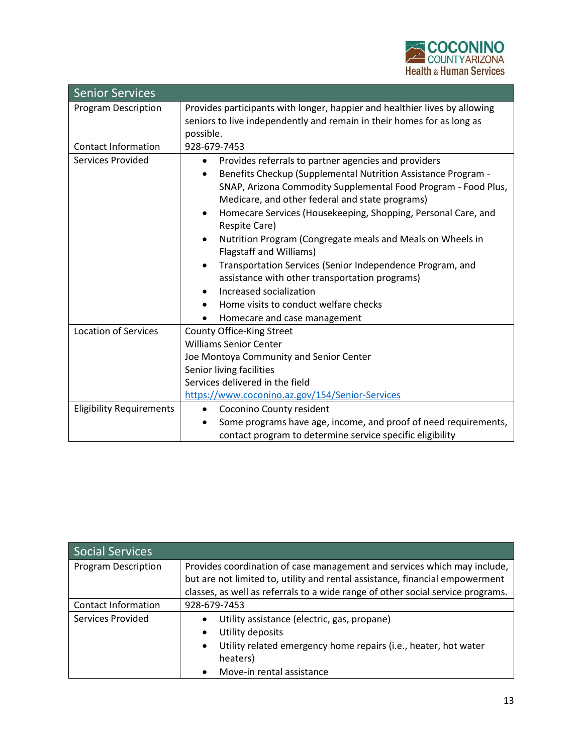

| <b>Senior Services</b>          |                                                                                                                                                                                                                                                                                                                                                                                                                                                                                                                                                                                                                                                            |
|---------------------------------|------------------------------------------------------------------------------------------------------------------------------------------------------------------------------------------------------------------------------------------------------------------------------------------------------------------------------------------------------------------------------------------------------------------------------------------------------------------------------------------------------------------------------------------------------------------------------------------------------------------------------------------------------------|
| <b>Program Description</b>      | Provides participants with longer, happier and healthier lives by allowing<br>seniors to live independently and remain in their homes for as long as<br>possible.                                                                                                                                                                                                                                                                                                                                                                                                                                                                                          |
| <b>Contact Information</b>      | 928-679-7453                                                                                                                                                                                                                                                                                                                                                                                                                                                                                                                                                                                                                                               |
| Services Provided               | Provides referrals to partner agencies and providers<br>$\bullet$<br>Benefits Checkup (Supplemental Nutrition Assistance Program -<br>SNAP, Arizona Commodity Supplemental Food Program - Food Plus,<br>Medicare, and other federal and state programs)<br>Homecare Services (Housekeeping, Shopping, Personal Care, and<br>٠<br>Respite Care)<br>Nutrition Program (Congregate meals and Meals on Wheels in<br>Flagstaff and Williams)<br>Transportation Services (Senior Independence Program, and<br>assistance with other transportation programs)<br>Increased socialization<br>Home visits to conduct welfare checks<br>Homecare and case management |
| <b>Location of Services</b>     | County Office-King Street<br><b>Williams Senior Center</b><br>Joe Montoya Community and Senior Center<br>Senior living facilities<br>Services delivered in the field<br>https://www.coconino.az.gov/154/Senior-Services                                                                                                                                                                                                                                                                                                                                                                                                                                    |
| <b>Eligibility Requirements</b> | Coconino County resident<br>Some programs have age, income, and proof of need requirements,<br>contact program to determine service specific eligibility                                                                                                                                                                                                                                                                                                                                                                                                                                                                                                   |

| Social Services            |                                                                                                                                                          |
|----------------------------|----------------------------------------------------------------------------------------------------------------------------------------------------------|
| <b>Program Description</b> | Provides coordination of case management and services which may include,<br>but are not limited to, utility and rental assistance, financial empowerment |
|                            | classes, as well as referrals to a wide range of other social service programs.                                                                          |
| <b>Contact Information</b> | 928-679-7453                                                                                                                                             |
| Services Provided          | Utility assistance (electric, gas, propane)<br>$\bullet$                                                                                                 |
|                            | Utility deposits<br>$\bullet$                                                                                                                            |
|                            | Utility related emergency home repairs (i.e., heater, hot water                                                                                          |
|                            | heaters)                                                                                                                                                 |
|                            | Move-in rental assistance                                                                                                                                |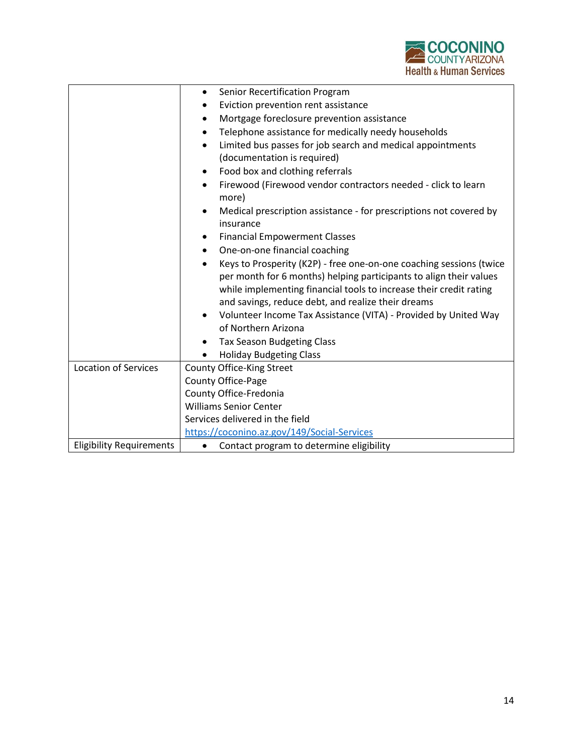

|                                 | Senior Recertification Program<br>$\bullet$                                |
|---------------------------------|----------------------------------------------------------------------------|
|                                 | Eviction prevention rent assistance                                        |
|                                 | Mortgage foreclosure prevention assistance                                 |
|                                 | Telephone assistance for medically needy households                        |
|                                 | Limited bus passes for job search and medical appointments                 |
|                                 | (documentation is required)                                                |
|                                 | Food box and clothing referrals                                            |
|                                 | Firewood (Firewood vendor contractors needed - click to learn<br>$\bullet$ |
|                                 | more)                                                                      |
|                                 | Medical prescription assistance - for prescriptions not covered by         |
|                                 | insurance                                                                  |
|                                 | <b>Financial Empowerment Classes</b>                                       |
|                                 | One-on-one financial coaching<br>$\bullet$                                 |
|                                 | Keys to Prosperity (K2P) - free one-on-one coaching sessions (twice        |
|                                 | per month for 6 months) helping participants to align their values         |
|                                 | while implementing financial tools to increase their credit rating         |
|                                 | and savings, reduce debt, and realize their dreams                         |
|                                 | Volunteer Income Tax Assistance (VITA) - Provided by United Way            |
|                                 | of Northern Arizona                                                        |
|                                 | <b>Tax Season Budgeting Class</b>                                          |
|                                 | <b>Holiday Budgeting Class</b>                                             |
| <b>Location of Services</b>     | County Office-King Street                                                  |
|                                 | County Office-Page                                                         |
|                                 | County Office-Fredonia                                                     |
|                                 | <b>Williams Senior Center</b>                                              |
|                                 | Services delivered in the field                                            |
|                                 | https://coconino.az.gov/149/Social-Services                                |
| <b>Eligibility Requirements</b> | Contact program to determine eligibility<br>$\bullet$                      |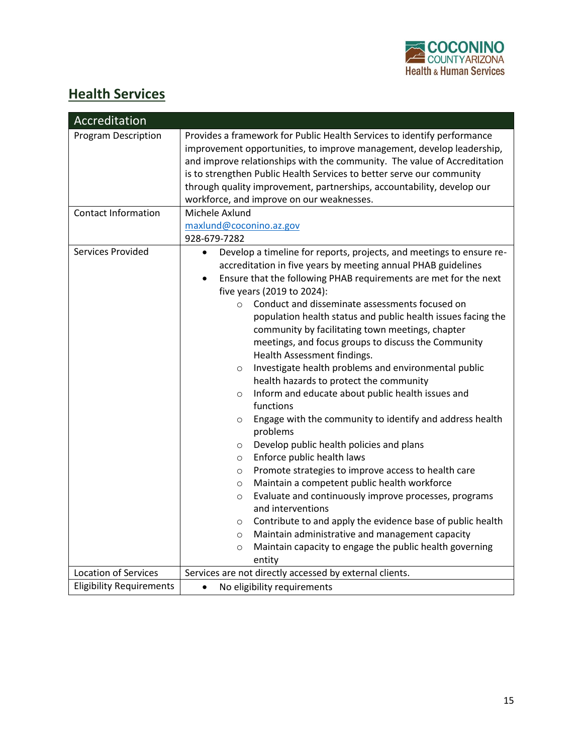

## **Health Services**

| Accreditation                   |                                                                                                                                                                                                                                                                                                                                                                                                                                                                                                                                                                                                                                                                                                                                                                                                                                                                                                                                                                                                                                                                                                                                                                                                                                                                                                                                                           |
|---------------------------------|-----------------------------------------------------------------------------------------------------------------------------------------------------------------------------------------------------------------------------------------------------------------------------------------------------------------------------------------------------------------------------------------------------------------------------------------------------------------------------------------------------------------------------------------------------------------------------------------------------------------------------------------------------------------------------------------------------------------------------------------------------------------------------------------------------------------------------------------------------------------------------------------------------------------------------------------------------------------------------------------------------------------------------------------------------------------------------------------------------------------------------------------------------------------------------------------------------------------------------------------------------------------------------------------------------------------------------------------------------------|
| <b>Program Description</b>      | Provides a framework for Public Health Services to identify performance<br>improvement opportunities, to improve management, develop leadership,<br>and improve relationships with the community. The value of Accreditation<br>is to strengthen Public Health Services to better serve our community<br>through quality improvement, partnerships, accountability, develop our<br>workforce, and improve on our weaknesses.                                                                                                                                                                                                                                                                                                                                                                                                                                                                                                                                                                                                                                                                                                                                                                                                                                                                                                                              |
| <b>Contact Information</b>      | Michele Axlund                                                                                                                                                                                                                                                                                                                                                                                                                                                                                                                                                                                                                                                                                                                                                                                                                                                                                                                                                                                                                                                                                                                                                                                                                                                                                                                                            |
|                                 | maxlund@coconino.az.gov                                                                                                                                                                                                                                                                                                                                                                                                                                                                                                                                                                                                                                                                                                                                                                                                                                                                                                                                                                                                                                                                                                                                                                                                                                                                                                                                   |
|                                 | 928-679-7282                                                                                                                                                                                                                                                                                                                                                                                                                                                                                                                                                                                                                                                                                                                                                                                                                                                                                                                                                                                                                                                                                                                                                                                                                                                                                                                                              |
| Services Provided               | Develop a timeline for reports, projects, and meetings to ensure re-<br>$\bullet$<br>accreditation in five years by meeting annual PHAB guidelines<br>Ensure that the following PHAB requirements are met for the next<br>$\bullet$<br>five years (2019 to 2024):<br>Conduct and disseminate assessments focused on<br>$\circ$<br>population health status and public health issues facing the<br>community by facilitating town meetings, chapter<br>meetings, and focus groups to discuss the Community<br>Health Assessment findings.<br>Investigate health problems and environmental public<br>$\circ$<br>health hazards to protect the community<br>Inform and educate about public health issues and<br>$\circ$<br>functions<br>Engage with the community to identify and address health<br>$\circ$<br>problems<br>Develop public health policies and plans<br>$\circ$<br>Enforce public health laws<br>$\circ$<br>Promote strategies to improve access to health care<br>$\circ$<br>Maintain a competent public health workforce<br>$\circ$<br>Evaluate and continuously improve processes, programs<br>$\circ$<br>and interventions<br>Contribute to and apply the evidence base of public health<br>$\circ$<br>Maintain administrative and management capacity<br>$\circ$<br>Maintain capacity to engage the public health governing<br>$\circ$ |
|                                 | entity                                                                                                                                                                                                                                                                                                                                                                                                                                                                                                                                                                                                                                                                                                                                                                                                                                                                                                                                                                                                                                                                                                                                                                                                                                                                                                                                                    |
| <b>Location of Services</b>     | Services are not directly accessed by external clients.                                                                                                                                                                                                                                                                                                                                                                                                                                                                                                                                                                                                                                                                                                                                                                                                                                                                                                                                                                                                                                                                                                                                                                                                                                                                                                   |
| <b>Eligibility Requirements</b> | No eligibility requirements<br>$\bullet$                                                                                                                                                                                                                                                                                                                                                                                                                                                                                                                                                                                                                                                                                                                                                                                                                                                                                                                                                                                                                                                                                                                                                                                                                                                                                                                  |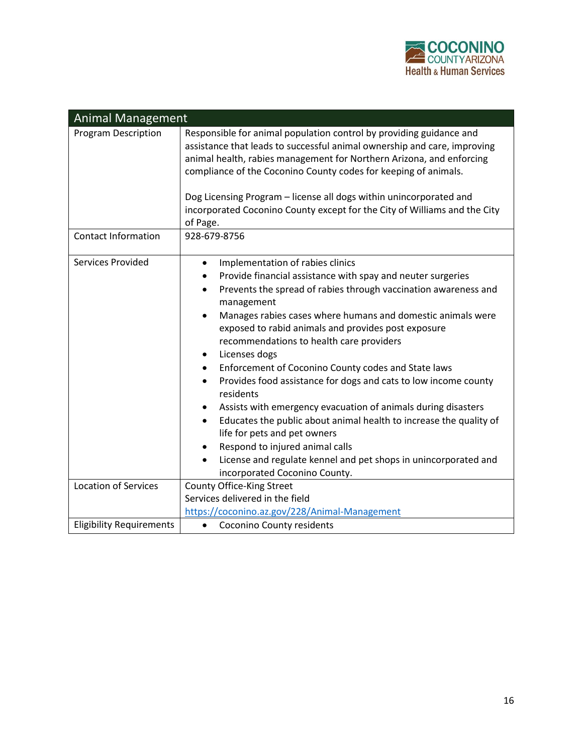

| <b>Animal Management</b>        |                                                                                                                                                                                                                                                                                                                                                                                                                                                                                                                                                                                                                                                                                                                                                                                                                                                                      |  |
|---------------------------------|----------------------------------------------------------------------------------------------------------------------------------------------------------------------------------------------------------------------------------------------------------------------------------------------------------------------------------------------------------------------------------------------------------------------------------------------------------------------------------------------------------------------------------------------------------------------------------------------------------------------------------------------------------------------------------------------------------------------------------------------------------------------------------------------------------------------------------------------------------------------|--|
| <b>Program Description</b>      | Responsible for animal population control by providing guidance and<br>assistance that leads to successful animal ownership and care, improving<br>animal health, rabies management for Northern Arizona, and enforcing<br>compliance of the Coconino County codes for keeping of animals.                                                                                                                                                                                                                                                                                                                                                                                                                                                                                                                                                                           |  |
|                                 | Dog Licensing Program - license all dogs within unincorporated and<br>incorporated Coconino County except for the City of Williams and the City<br>of Page.                                                                                                                                                                                                                                                                                                                                                                                                                                                                                                                                                                                                                                                                                                          |  |
| <b>Contact Information</b>      | 928-679-8756                                                                                                                                                                                                                                                                                                                                                                                                                                                                                                                                                                                                                                                                                                                                                                                                                                                         |  |
| Services Provided               | Implementation of rabies clinics<br>Provide financial assistance with spay and neuter surgeries<br>Prevents the spread of rabies through vaccination awareness and<br>$\bullet$<br>management<br>Manages rabies cases where humans and domestic animals were<br>exposed to rabid animals and provides post exposure<br>recommendations to health care providers<br>Licenses dogs<br>٠<br>Enforcement of Coconino County codes and State laws<br>Provides food assistance for dogs and cats to low income county<br>$\bullet$<br>residents<br>Assists with emergency evacuation of animals during disasters<br>Educates the public about animal health to increase the quality of<br>life for pets and pet owners<br>Respond to injured animal calls<br>License and regulate kennel and pet shops in unincorporated and<br>$\bullet$<br>incorporated Coconino County. |  |
| <b>Location of Services</b>     | County Office-King Street<br>Services delivered in the field                                                                                                                                                                                                                                                                                                                                                                                                                                                                                                                                                                                                                                                                                                                                                                                                         |  |
|                                 | https://coconino.az.gov/228/Animal-Management                                                                                                                                                                                                                                                                                                                                                                                                                                                                                                                                                                                                                                                                                                                                                                                                                        |  |
| <b>Eligibility Requirements</b> | Coconino County residents<br>$\bullet$                                                                                                                                                                                                                                                                                                                                                                                                                                                                                                                                                                                                                                                                                                                                                                                                                               |  |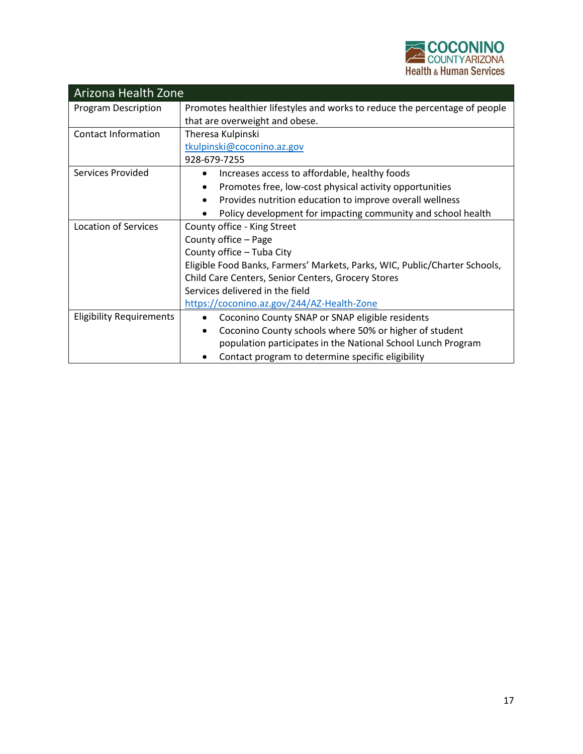

| Arizona Health Zone             |                                                                            |  |
|---------------------------------|----------------------------------------------------------------------------|--|
| <b>Program Description</b>      | Promotes healthier lifestyles and works to reduce the percentage of people |  |
|                                 | that are overweight and obese.                                             |  |
| <b>Contact Information</b>      | Theresa Kulpinski                                                          |  |
|                                 | tkulpinski@coconino.az.gov                                                 |  |
|                                 | 928-679-7255                                                               |  |
| Services Provided               | Increases access to affordable, healthy foods                              |  |
|                                 | Promotes free, low-cost physical activity opportunities                    |  |
|                                 | Provides nutrition education to improve overall wellness<br>$\bullet$      |  |
|                                 | Policy development for impacting community and school health               |  |
| Location of Services            | County office - King Street                                                |  |
|                                 | County office - Page                                                       |  |
|                                 | County office - Tuba City                                                  |  |
|                                 | Eligible Food Banks, Farmers' Markets, Parks, WIC, Public/Charter Schools, |  |
|                                 | Child Care Centers, Senior Centers, Grocery Stores                         |  |
|                                 | Services delivered in the field                                            |  |
|                                 | https://coconino.az.gov/244/AZ-Health-Zone                                 |  |
| <b>Eligibility Requirements</b> | Coconino County SNAP or SNAP eligible residents<br>$\bullet$               |  |
|                                 | Coconino County schools where 50% or higher of student<br>$\bullet$        |  |
|                                 | population participates in the National School Lunch Program               |  |
|                                 | Contact program to determine specific eligibility                          |  |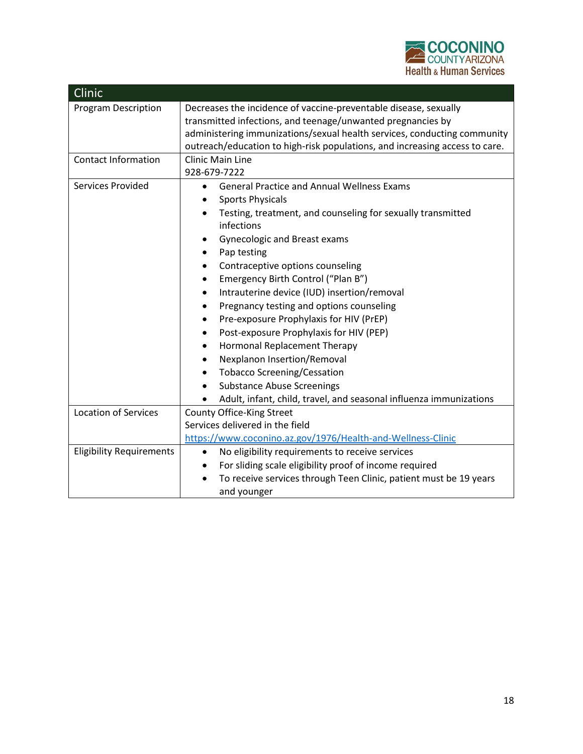

| Clinic                          |                                                                             |
|---------------------------------|-----------------------------------------------------------------------------|
| <b>Program Description</b>      | Decreases the incidence of vaccine-preventable disease, sexually            |
|                                 | transmitted infections, and teenage/unwanted pregnancies by                 |
|                                 | administering immunizations/sexual health services, conducting community    |
|                                 | outreach/education to high-risk populations, and increasing access to care. |
| <b>Contact Information</b>      | <b>Clinic Main Line</b>                                                     |
|                                 | 928-679-7222                                                                |
| Services Provided               | <b>General Practice and Annual Wellness Exams</b><br>$\bullet$              |
|                                 | <b>Sports Physicals</b>                                                     |
|                                 | Testing, treatment, and counseling for sexually transmitted<br>$\bullet$    |
|                                 | infections                                                                  |
|                                 | <b>Gynecologic and Breast exams</b>                                         |
|                                 | Pap testing<br>٠                                                            |
|                                 | Contraceptive options counseling<br>$\bullet$                               |
|                                 | Emergency Birth Control ("Plan B")                                          |
|                                 | Intrauterine device (IUD) insertion/removal<br>$\bullet$                    |
|                                 | Pregnancy testing and options counseling                                    |
|                                 | Pre-exposure Prophylaxis for HIV (PrEP)                                     |
|                                 | Post-exposure Prophylaxis for HIV (PEP)                                     |
|                                 | Hormonal Replacement Therapy                                                |
|                                 | Nexplanon Insertion/Removal<br>$\bullet$                                    |
|                                 | <b>Tobacco Screening/Cessation</b>                                          |
|                                 | <b>Substance Abuse Screenings</b><br>$\bullet$                              |
|                                 | Adult, infant, child, travel, and seasonal influenza immunizations          |
| <b>Location of Services</b>     | County Office-King Street                                                   |
|                                 | Services delivered in the field                                             |
|                                 | https://www.coconino.az.gov/1976/Health-and-Wellness-Clinic                 |
| <b>Eligibility Requirements</b> | No eligibility requirements to receive services<br>$\bullet$                |
|                                 | For sliding scale eligibility proof of income required<br>٠                 |
|                                 | To receive services through Teen Clinic, patient must be 19 years           |
|                                 | and younger                                                                 |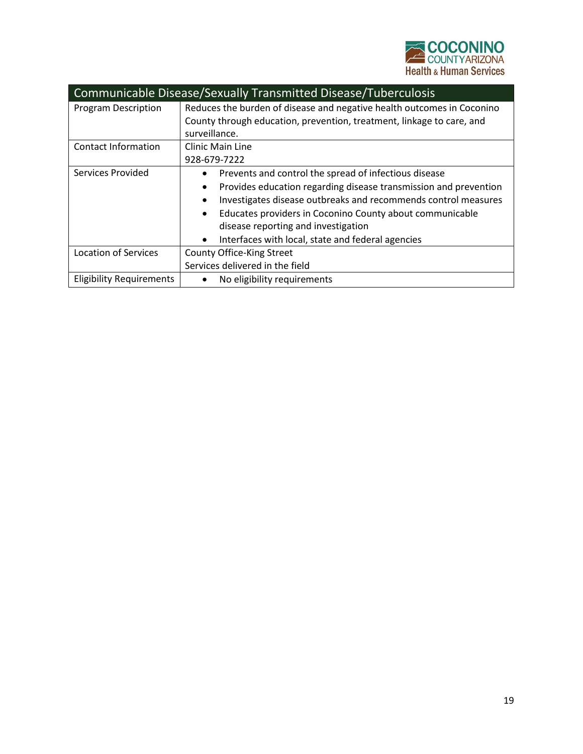

| Communicable Disease/Sexually Transmitted Disease/Tuberculosis |                                                                               |  |
|----------------------------------------------------------------|-------------------------------------------------------------------------------|--|
| <b>Program Description</b>                                     | Reduces the burden of disease and negative health outcomes in Coconino        |  |
|                                                                | County through education, prevention, treatment, linkage to care, and         |  |
|                                                                | surveillance.                                                                 |  |
| Contact Information                                            | <b>Clinic Main Line</b>                                                       |  |
|                                                                | 928-679-7222                                                                  |  |
| Services Provided                                              | Prevents and control the spread of infectious disease                         |  |
|                                                                | Provides education regarding disease transmission and prevention<br>$\bullet$ |  |
|                                                                | Investigates disease outbreaks and recommends control measures                |  |
|                                                                | Educates providers in Coconino County about communicable                      |  |
|                                                                | disease reporting and investigation                                           |  |
|                                                                | Interfaces with local, state and federal agencies<br>$\bullet$                |  |
| <b>Location of Services</b>                                    | County Office-King Street                                                     |  |
|                                                                | Services delivered in the field                                               |  |
| <b>Eligibility Requirements</b>                                | No eligibility requirements                                                   |  |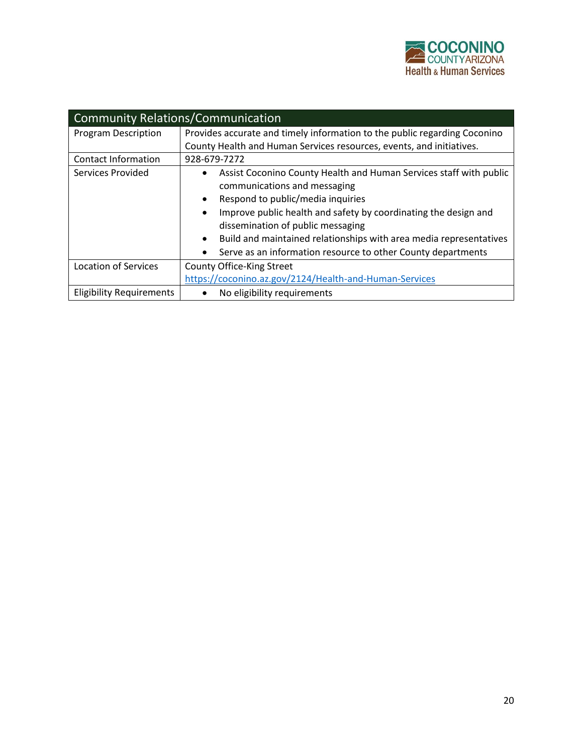

| <b>Community Relations/Communication</b> |                                                                                                                                                                                                                                                                                                                                                                                                                 |  |
|------------------------------------------|-----------------------------------------------------------------------------------------------------------------------------------------------------------------------------------------------------------------------------------------------------------------------------------------------------------------------------------------------------------------------------------------------------------------|--|
| <b>Program Description</b>               | Provides accurate and timely information to the public regarding Coconino                                                                                                                                                                                                                                                                                                                                       |  |
|                                          | County Health and Human Services resources, events, and initiatives.                                                                                                                                                                                                                                                                                                                                            |  |
| <b>Contact Information</b>               | 928-679-7272                                                                                                                                                                                                                                                                                                                                                                                                    |  |
| Services Provided                        | Assist Coconino County Health and Human Services staff with public<br>communications and messaging<br>Respond to public/media inquiries<br>$\bullet$<br>Improve public health and safety by coordinating the design and<br>$\bullet$<br>dissemination of public messaging<br>Build and maintained relationships with area media representatives<br>Serve as an information resource to other County departments |  |
| <b>Location of Services</b>              | County Office-King Street                                                                                                                                                                                                                                                                                                                                                                                       |  |
|                                          | https://coconino.az.gov/2124/Health-and-Human-Services                                                                                                                                                                                                                                                                                                                                                          |  |
| <b>Eligibility Requirements</b>          | No eligibility requirements                                                                                                                                                                                                                                                                                                                                                                                     |  |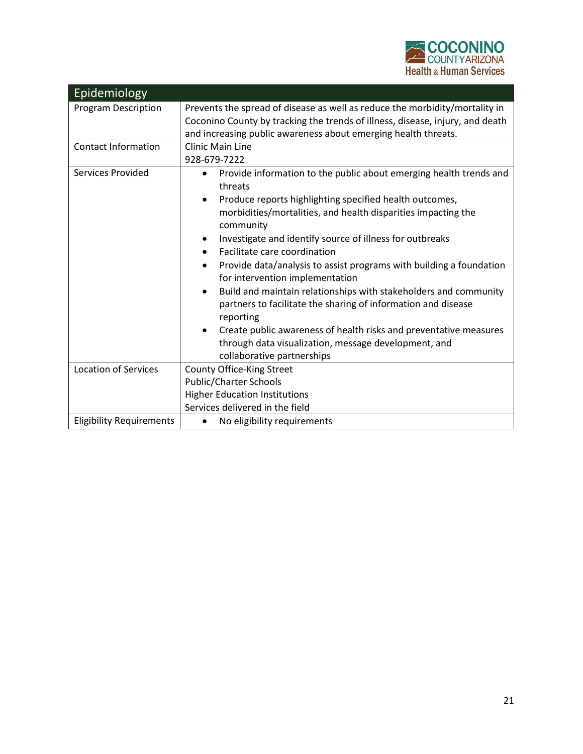

| Epidemiology                    |                                                                                                                                                                                                                                                                                                                                                                                                                                                                                                                                                                                                                                                                                                                                                        |
|---------------------------------|--------------------------------------------------------------------------------------------------------------------------------------------------------------------------------------------------------------------------------------------------------------------------------------------------------------------------------------------------------------------------------------------------------------------------------------------------------------------------------------------------------------------------------------------------------------------------------------------------------------------------------------------------------------------------------------------------------------------------------------------------------|
| <b>Program Description</b>      | Prevents the spread of disease as well as reduce the morbidity/mortality in<br>Coconino County by tracking the trends of illness, disease, injury, and death<br>and increasing public awareness about emerging health threats.                                                                                                                                                                                                                                                                                                                                                                                                                                                                                                                         |
| <b>Contact Information</b>      | <b>Clinic Main Line</b><br>928-679-7222                                                                                                                                                                                                                                                                                                                                                                                                                                                                                                                                                                                                                                                                                                                |
| Services Provided               | Provide information to the public about emerging health trends and<br>threats<br>Produce reports highlighting specified health outcomes,<br>$\bullet$<br>morbidities/mortalities, and health disparities impacting the<br>community<br>Investigate and identify source of illness for outbreaks<br>Facilitate care coordination<br>Provide data/analysis to assist programs with building a foundation<br>for intervention implementation<br>Build and maintain relationships with stakeholders and community<br>partners to facilitate the sharing of information and disease<br>reporting<br>Create public awareness of health risks and preventative measures<br>through data visualization, message development, and<br>collaborative partnerships |
| <b>Location of Services</b>     | County Office-King Street<br><b>Public/Charter Schools</b><br><b>Higher Education Institutions</b><br>Services delivered in the field                                                                                                                                                                                                                                                                                                                                                                                                                                                                                                                                                                                                                  |
| <b>Eligibility Requirements</b> | No eligibility requirements                                                                                                                                                                                                                                                                                                                                                                                                                                                                                                                                                                                                                                                                                                                            |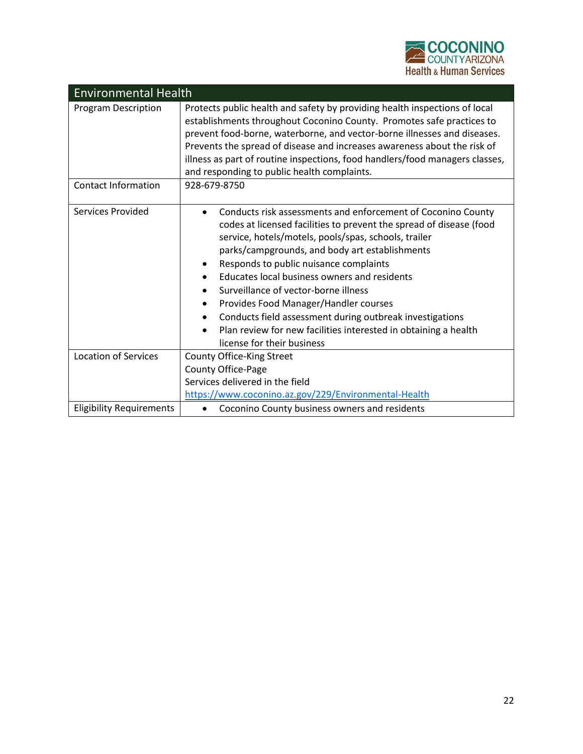

| <b>Environmental Health</b>     |                                                                                                                                                                                                                                                                                                                                                                                                                                                                                                                                                                                                    |
|---------------------------------|----------------------------------------------------------------------------------------------------------------------------------------------------------------------------------------------------------------------------------------------------------------------------------------------------------------------------------------------------------------------------------------------------------------------------------------------------------------------------------------------------------------------------------------------------------------------------------------------------|
| <b>Program Description</b>      | Protects public health and safety by providing health inspections of local<br>establishments throughout Coconino County. Promotes safe practices to<br>prevent food-borne, waterborne, and vector-borne illnesses and diseases.<br>Prevents the spread of disease and increases awareness about the risk of<br>illness as part of routine inspections, food handlers/food managers classes,<br>and responding to public health complaints.                                                                                                                                                         |
| <b>Contact Information</b>      | 928-679-8750                                                                                                                                                                                                                                                                                                                                                                                                                                                                                                                                                                                       |
| Services Provided               | Conducts risk assessments and enforcement of Coconino County<br>$\bullet$<br>codes at licensed facilities to prevent the spread of disease (food<br>service, hotels/motels, pools/spas, schools, trailer<br>parks/campgrounds, and body art establishments<br>Responds to public nuisance complaints<br>Educates local business owners and residents<br>Surveillance of vector-borne illness<br>Provides Food Manager/Handler courses<br>Conducts field assessment during outbreak investigations<br>Plan review for new facilities interested in obtaining a health<br>license for their business |
| <b>Location of Services</b>     | County Office-King Street<br>County Office-Page<br>Services delivered in the field<br>https://www.coconino.az.gov/229/Environmental-Health                                                                                                                                                                                                                                                                                                                                                                                                                                                         |
| <b>Eligibility Requirements</b> | Coconino County business owners and residents                                                                                                                                                                                                                                                                                                                                                                                                                                                                                                                                                      |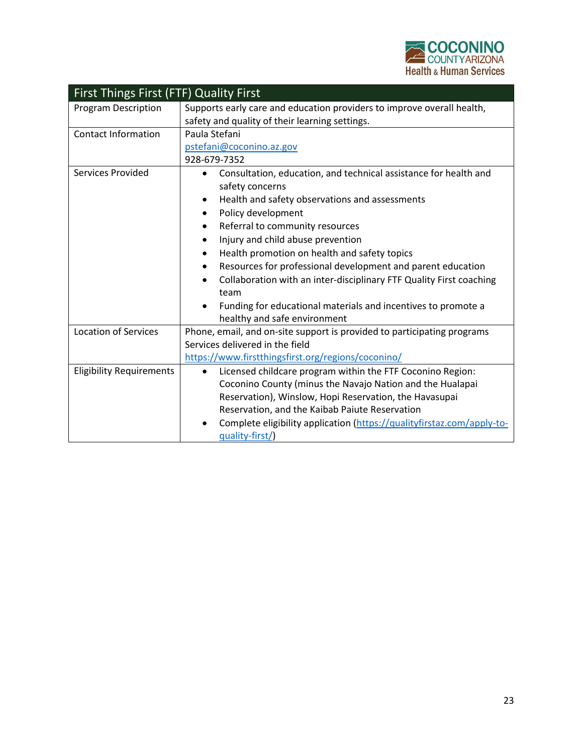

| <b>First Things First (FTF) Quality First</b> |                                                                                                                                                                                                                                                                                                                                                                                                                                                                                                                                                                          |  |
|-----------------------------------------------|--------------------------------------------------------------------------------------------------------------------------------------------------------------------------------------------------------------------------------------------------------------------------------------------------------------------------------------------------------------------------------------------------------------------------------------------------------------------------------------------------------------------------------------------------------------------------|--|
| <b>Program Description</b>                    | Supports early care and education providers to improve overall health,<br>safety and quality of their learning settings.                                                                                                                                                                                                                                                                                                                                                                                                                                                 |  |
| <b>Contact Information</b>                    | Paula Stefani<br>pstefani@coconino.az.gov<br>928-679-7352                                                                                                                                                                                                                                                                                                                                                                                                                                                                                                                |  |
| Services Provided                             | Consultation, education, and technical assistance for health and<br>$\bullet$<br>safety concerns<br>Health and safety observations and assessments<br>٠<br>Policy development<br>٠<br>Referral to community resources<br>٠<br>Injury and child abuse prevention<br>Health promotion on health and safety topics<br>Resources for professional development and parent education<br>٠<br>Collaboration with an inter-disciplinary FTF Quality First coaching<br>٠<br>team<br>Funding for educational materials and incentives to promote a<br>healthy and safe environment |  |
| <b>Location of Services</b>                   | Phone, email, and on-site support is provided to participating programs<br>Services delivered in the field<br>https://www.firstthingsfirst.org/regions/coconino/                                                                                                                                                                                                                                                                                                                                                                                                         |  |
| <b>Eligibility Requirements</b>               | Licensed childcare program within the FTF Coconino Region:<br>$\bullet$<br>Coconino County (minus the Navajo Nation and the Hualapai<br>Reservation), Winslow, Hopi Reservation, the Havasupai<br>Reservation, and the Kaibab Paiute Reservation<br>Complete eligibility application (https://qualityfirstaz.com/apply-to-<br>quality-first/)                                                                                                                                                                                                                            |  |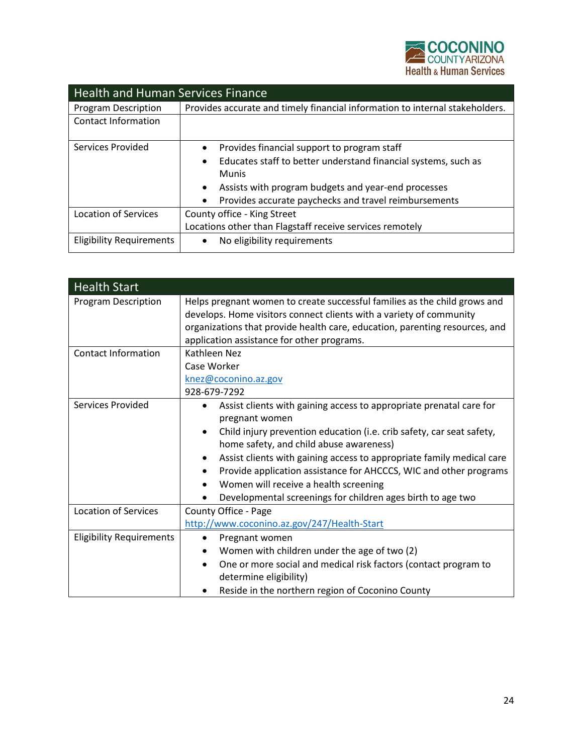

| <b>Health and Human Services Finance</b> |                                                                              |  |
|------------------------------------------|------------------------------------------------------------------------------|--|
| <b>Program Description</b>               | Provides accurate and timely financial information to internal stakeholders. |  |
| Contact Information                      |                                                                              |  |
| Services Provided                        | Provides financial support to program staff<br>$\bullet$                     |  |
|                                          | Educates staff to better understand financial systems, such as<br>$\bullet$  |  |
|                                          | <b>Munis</b>                                                                 |  |
|                                          | Assists with program budgets and year-end processes                          |  |
|                                          | Provides accurate paychecks and travel reimbursements                        |  |
| Location of Services                     | County office - King Street                                                  |  |
|                                          | Locations other than Flagstaff receive services remotely                     |  |
| <b>Eligibility Requirements</b>          | No eligibility requirements                                                  |  |

| <b>Health Start</b>             |                                                                                                                                                                                                                                                                                                                                                                                                                                                                                                |
|---------------------------------|------------------------------------------------------------------------------------------------------------------------------------------------------------------------------------------------------------------------------------------------------------------------------------------------------------------------------------------------------------------------------------------------------------------------------------------------------------------------------------------------|
| Program Description             | Helps pregnant women to create successful families as the child grows and<br>develops. Home visitors connect clients with a variety of community<br>organizations that provide health care, education, parenting resources, and<br>application assistance for other programs.                                                                                                                                                                                                                  |
| <b>Contact Information</b>      | Kathleen Nez<br>Case Worker<br>knez@coconino.az.gov<br>928-679-7292                                                                                                                                                                                                                                                                                                                                                                                                                            |
| Services Provided               | Assist clients with gaining access to appropriate prenatal care for<br>pregnant women<br>Child injury prevention education (i.e. crib safety, car seat safety,<br>$\bullet$<br>home safety, and child abuse awareness)<br>Assist clients with gaining access to appropriate family medical care<br>$\bullet$<br>Provide application assistance for AHCCCS, WIC and other programs<br>Women will receive a health screening<br>٠<br>Developmental screenings for children ages birth to age two |
| <b>Location of Services</b>     | County Office - Page<br>http://www.coconino.az.gov/247/Health-Start                                                                                                                                                                                                                                                                                                                                                                                                                            |
| <b>Eligibility Requirements</b> | Pregnant women<br>٠<br>Women with children under the age of two (2)<br>٠<br>One or more social and medical risk factors (contact program to<br>$\bullet$<br>determine eligibility)<br>Reside in the northern region of Coconino County                                                                                                                                                                                                                                                         |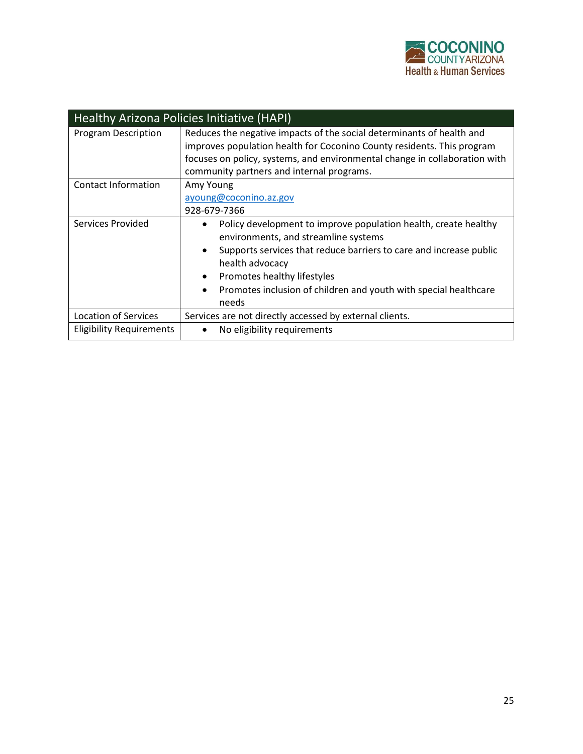

| Healthy Arizona Policies Initiative (HAPI) |                                                                                                                                                                                                                                                                                                                                        |  |
|--------------------------------------------|----------------------------------------------------------------------------------------------------------------------------------------------------------------------------------------------------------------------------------------------------------------------------------------------------------------------------------------|--|
| <b>Program Description</b>                 | Reduces the negative impacts of the social determinants of health and<br>improves population health for Coconino County residents. This program<br>focuses on policy, systems, and environmental change in collaboration with<br>community partners and internal programs.                                                             |  |
| Contact Information                        | Amy Young<br>ayoung@coconino.az.gov<br>928-679-7366                                                                                                                                                                                                                                                                                    |  |
| Services Provided                          | Policy development to improve population health, create healthy<br>environments, and streamline systems<br>Supports services that reduce barriers to care and increase public<br>health advocacy<br>Promotes healthy lifestyles<br>$\bullet$<br>Promotes inclusion of children and youth with special healthcare<br>$\bullet$<br>needs |  |
| <b>Location of Services</b>                | Services are not directly accessed by external clients.                                                                                                                                                                                                                                                                                |  |
| <b>Eligibility Requirements</b>            | No eligibility requirements                                                                                                                                                                                                                                                                                                            |  |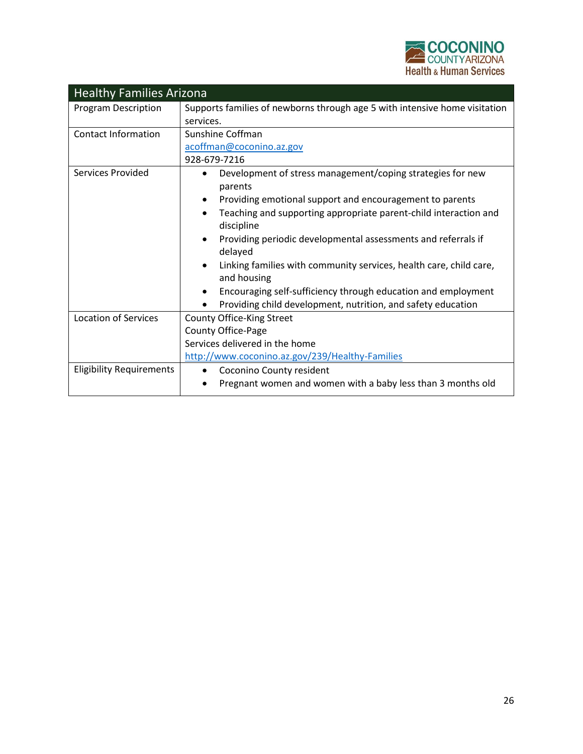

| <b>Healthy Families Arizona</b> |                                                                            |  |
|---------------------------------|----------------------------------------------------------------------------|--|
| <b>Program Description</b>      | Supports families of newborns through age 5 with intensive home visitation |  |
|                                 | services.                                                                  |  |
| <b>Contact Information</b>      | Sunshine Coffman                                                           |  |
|                                 | acoffman@coconino.az.gov                                                   |  |
|                                 | 928-679-7216                                                               |  |
| Services Provided               | Development of stress management/coping strategies for new                 |  |
|                                 | parents                                                                    |  |
|                                 | Providing emotional support and encouragement to parents                   |  |
|                                 | Teaching and supporting appropriate parent-child interaction and           |  |
|                                 | discipline                                                                 |  |
|                                 | Providing periodic developmental assessments and referrals if              |  |
|                                 | delayed                                                                    |  |
|                                 | Linking families with community services, health care, child care,         |  |
|                                 | and housing                                                                |  |
|                                 | Encouraging self-sufficiency through education and employment              |  |
|                                 | Providing child development, nutrition, and safety education               |  |
| <b>Location of Services</b>     | County Office-King Street                                                  |  |
|                                 | County Office-Page                                                         |  |
|                                 | Services delivered in the home                                             |  |
|                                 | http://www.coconino.az.gov/239/Healthy-Families                            |  |
| <b>Eligibility Requirements</b> | Coconino County resident<br>$\bullet$                                      |  |
|                                 | Pregnant women and women with a baby less than 3 months old                |  |
|                                 |                                                                            |  |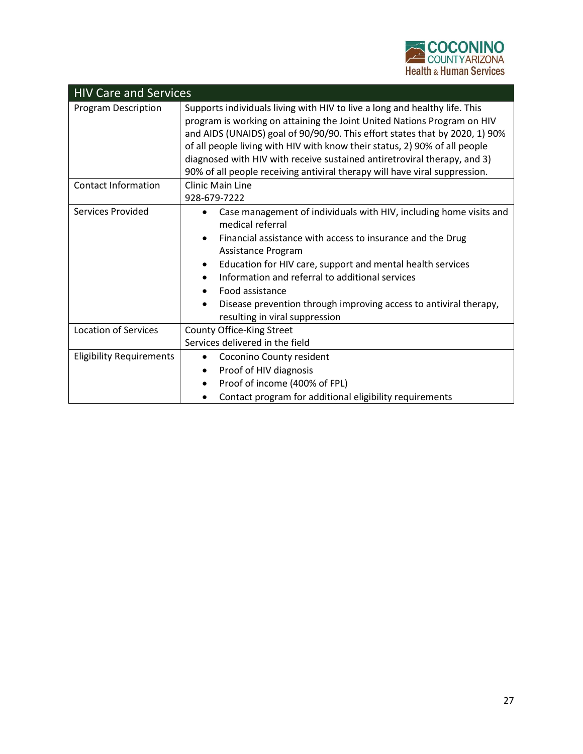

| <b>HIV Care and Services</b>    |                                                                                                                                                                                                                                                                                                                                                                                                                                                                              |
|---------------------------------|------------------------------------------------------------------------------------------------------------------------------------------------------------------------------------------------------------------------------------------------------------------------------------------------------------------------------------------------------------------------------------------------------------------------------------------------------------------------------|
| <b>Program Description</b>      | Supports individuals living with HIV to live a long and healthy life. This<br>program is working on attaining the Joint United Nations Program on HIV<br>and AIDS (UNAIDS) goal of 90/90/90. This effort states that by 2020, 1) 90%<br>of all people living with HIV with know their status, 2) 90% of all people<br>diagnosed with HIV with receive sustained antiretroviral therapy, and 3)<br>90% of all people receiving antiviral therapy will have viral suppression. |
| <b>Contact Information</b>      | <b>Clinic Main Line</b><br>928-679-7222                                                                                                                                                                                                                                                                                                                                                                                                                                      |
| Services Provided               | Case management of individuals with HIV, including home visits and<br>medical referral<br>Financial assistance with access to insurance and the Drug<br>Assistance Program<br>Education for HIV care, support and mental health services<br>Information and referral to additional services<br>Food assistance<br>Disease prevention through improving access to antiviral therapy,<br>resulting in viral suppression                                                        |
| <b>Location of Services</b>     | County Office-King Street<br>Services delivered in the field                                                                                                                                                                                                                                                                                                                                                                                                                 |
| <b>Eligibility Requirements</b> | Coconino County resident<br>Proof of HIV diagnosis<br>٠<br>Proof of income (400% of FPL)<br>Contact program for additional eligibility requirements                                                                                                                                                                                                                                                                                                                          |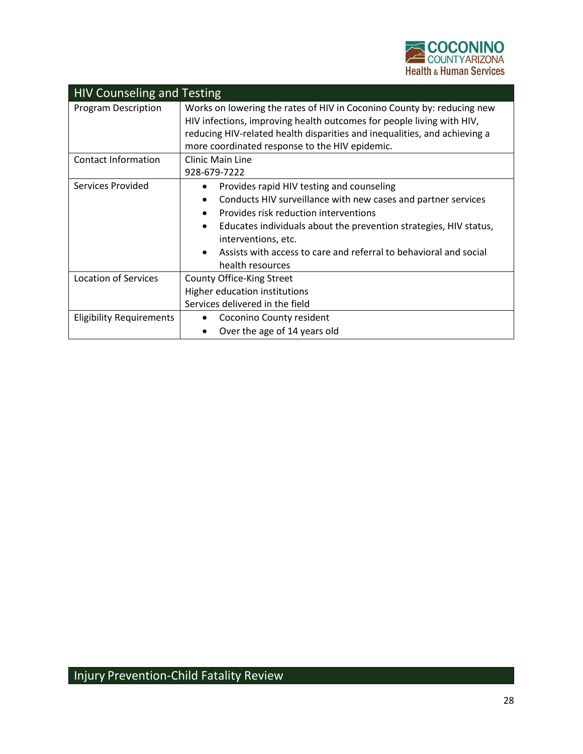

| <b>HIV Counseling and Testing</b> |                                                                                                                                                                                                                                                                                |
|-----------------------------------|--------------------------------------------------------------------------------------------------------------------------------------------------------------------------------------------------------------------------------------------------------------------------------|
| <b>Program Description</b>        | Works on lowering the rates of HIV in Coconino County by: reducing new<br>HIV infections, improving health outcomes for people living with HIV,<br>reducing HIV-related health disparities and inequalities, and achieving a<br>more coordinated response to the HIV epidemic. |
| <b>Contact Information</b>        | <b>Clinic Main Line</b>                                                                                                                                                                                                                                                        |
|                                   | 928-679-7222                                                                                                                                                                                                                                                                   |
| Services Provided                 | Provides rapid HIV testing and counseling<br>$\bullet$                                                                                                                                                                                                                         |
|                                   | Conducts HIV surveillance with new cases and partner services<br>$\bullet$                                                                                                                                                                                                     |
|                                   | Provides risk reduction interventions                                                                                                                                                                                                                                          |
|                                   | Educates individuals about the prevention strategies, HIV status,<br>$\bullet$                                                                                                                                                                                                 |
|                                   | interventions, etc.                                                                                                                                                                                                                                                            |
|                                   | Assists with access to care and referral to behavioral and social                                                                                                                                                                                                              |
|                                   | health resources                                                                                                                                                                                                                                                               |
| <b>Location of Services</b>       | County Office-King Street                                                                                                                                                                                                                                                      |
|                                   | Higher education institutions                                                                                                                                                                                                                                                  |
|                                   | Services delivered in the field                                                                                                                                                                                                                                                |
| <b>Eligibility Requirements</b>   | Coconino County resident                                                                                                                                                                                                                                                       |
|                                   | Over the age of 14 years old                                                                                                                                                                                                                                                   |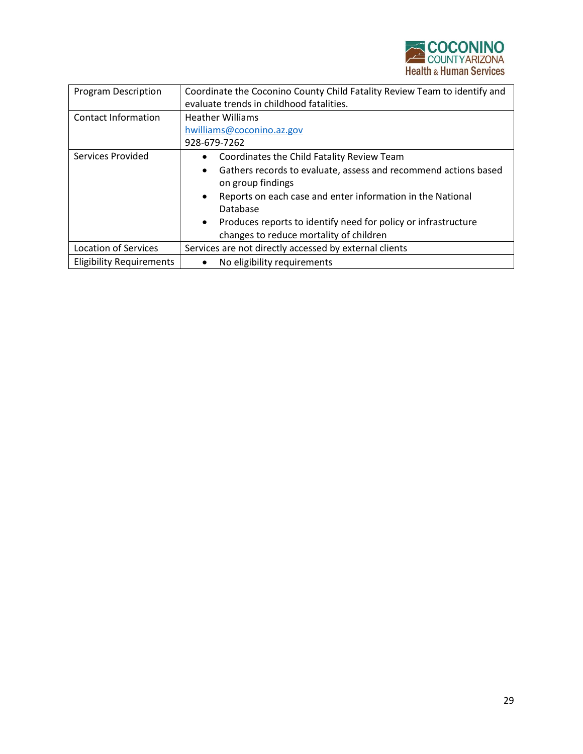

| <b>Program Description</b>      | Coordinate the Coconino County Child Fatality Review Team to identify and                         |
|---------------------------------|---------------------------------------------------------------------------------------------------|
|                                 | evaluate trends in childhood fatalities.                                                          |
| Contact Information             | <b>Heather Williams</b>                                                                           |
|                                 | hwilliams@coconino.az.gov                                                                         |
|                                 | 928-679-7262                                                                                      |
| Services Provided               | Coordinates the Child Fatality Review Team<br>$\bullet$                                           |
|                                 | Gathers records to evaluate, assess and recommend actions based<br>$\bullet$<br>on group findings |
|                                 | Reports on each case and enter information in the National<br>$\bullet$<br>Database               |
|                                 | Produces reports to identify need for policy or infrastructure<br>$\bullet$                       |
|                                 | changes to reduce mortality of children                                                           |
| <b>Location of Services</b>     | Services are not directly accessed by external clients                                            |
| <b>Eligibility Requirements</b> | No eligibility requirements                                                                       |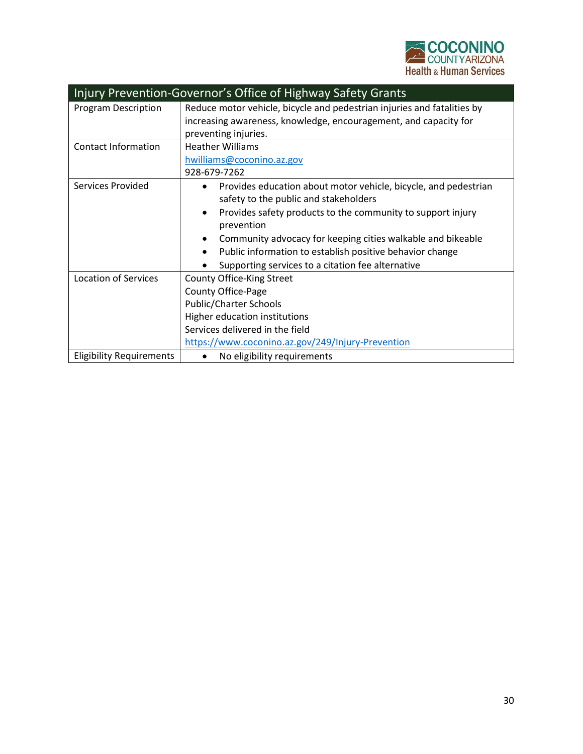

| Injury Prevention-Governor's Office of Highway Safety Grants |                                                                                                                                                                                                                                                                                                                                                                                                              |  |
|--------------------------------------------------------------|--------------------------------------------------------------------------------------------------------------------------------------------------------------------------------------------------------------------------------------------------------------------------------------------------------------------------------------------------------------------------------------------------------------|--|
| <b>Program Description</b>                                   | Reduce motor vehicle, bicycle and pedestrian injuries and fatalities by<br>increasing awareness, knowledge, encouragement, and capacity for<br>preventing injuries.                                                                                                                                                                                                                                          |  |
| <b>Contact Information</b>                                   | <b>Heather Williams</b><br>hwilliams@coconino.az.gov<br>928-679-7262                                                                                                                                                                                                                                                                                                                                         |  |
| Services Provided                                            | Provides education about motor vehicle, bicycle, and pedestrian<br>$\bullet$<br>safety to the public and stakeholders<br>Provides safety products to the community to support injury<br>$\bullet$<br>prevention<br>Community advocacy for keeping cities walkable and bikeable<br>$\bullet$<br>Public information to establish positive behavior change<br>Supporting services to a citation fee alternative |  |
| <b>Location of Services</b>                                  | County Office-King Street<br><b>County Office-Page</b><br>Public/Charter Schools<br>Higher education institutions<br>Services delivered in the field<br>https://www.coconino.az.gov/249/Injury-Prevention                                                                                                                                                                                                    |  |
| <b>Eligibility Requirements</b>                              | No eligibility requirements                                                                                                                                                                                                                                                                                                                                                                                  |  |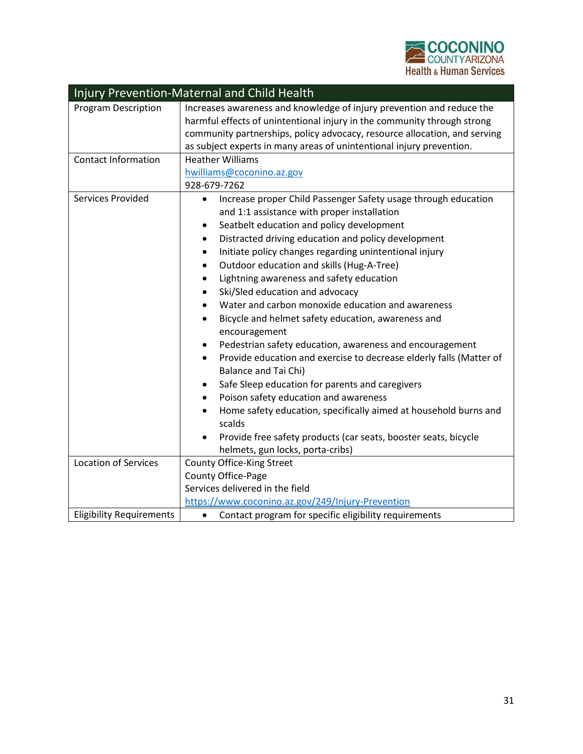

| Injury Prevention-Maternal and Child Health |                                                                                                    |  |
|---------------------------------------------|----------------------------------------------------------------------------------------------------|--|
| <b>Program Description</b>                  | Increases awareness and knowledge of injury prevention and reduce the                              |  |
|                                             | harmful effects of unintentional injury in the community through strong                            |  |
|                                             | community partnerships, policy advocacy, resource allocation, and serving                          |  |
|                                             | as subject experts in many areas of unintentional injury prevention.                               |  |
| <b>Contact Information</b>                  | <b>Heather Williams</b>                                                                            |  |
|                                             | hwilliams@coconino.az.gov                                                                          |  |
|                                             | 928-679-7262                                                                                       |  |
| Services Provided                           | Increase proper Child Passenger Safety usage through education<br>$\bullet$                        |  |
|                                             | and 1:1 assistance with proper installation                                                        |  |
|                                             | Seatbelt education and policy development                                                          |  |
|                                             | Distracted driving education and policy development                                                |  |
|                                             | Initiate policy changes regarding unintentional injury<br>$\bullet$                                |  |
|                                             | Outdoor education and skills (Hug-A-Tree)<br>$\bullet$                                             |  |
|                                             | Lightning awareness and safety education<br>$\bullet$                                              |  |
|                                             | Ski/Sled education and advocacy                                                                    |  |
|                                             | Water and carbon monoxide education and awareness<br>$\bullet$                                     |  |
|                                             | Bicycle and helmet safety education, awareness and<br>$\bullet$                                    |  |
|                                             | encouragement                                                                                      |  |
|                                             | Pedestrian safety education, awareness and encouragement                                           |  |
|                                             | Provide education and exercise to decrease elderly falls (Matter of<br><b>Balance and Tai Chi)</b> |  |
|                                             | Safe Sleep education for parents and caregivers                                                    |  |
|                                             | Poison safety education and awareness<br>$\bullet$                                                 |  |
|                                             | Home safety education, specifically aimed at household burns and                                   |  |
|                                             | scalds                                                                                             |  |
|                                             | Provide free safety products (car seats, booster seats, bicycle                                    |  |
|                                             | helmets, gun locks, porta-cribs)                                                                   |  |
| <b>Location of Services</b>                 | County Office-King Street                                                                          |  |
|                                             | County Office-Page                                                                                 |  |
|                                             | Services delivered in the field                                                                    |  |
|                                             | https://www.coconino.az.gov/249/Injury-Prevention                                                  |  |
| <b>Eligibility Requirements</b>             | Contact program for specific eligibility requirements<br>$\bullet$                                 |  |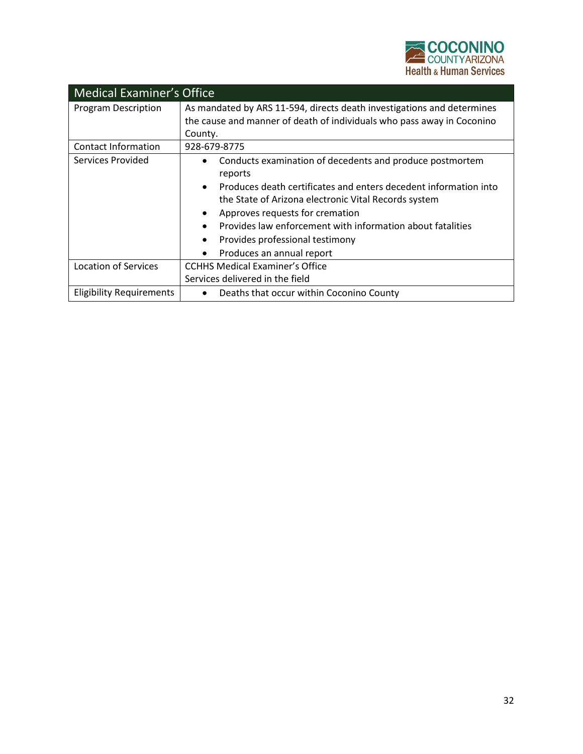

| <b>Medical Examiner's Office</b> |                                                                                                                                                                                                                                                                                                                                                                                                                      |  |
|----------------------------------|----------------------------------------------------------------------------------------------------------------------------------------------------------------------------------------------------------------------------------------------------------------------------------------------------------------------------------------------------------------------------------------------------------------------|--|
| <b>Program Description</b>       | As mandated by ARS 11-594, directs death investigations and determines<br>the cause and manner of death of individuals who pass away in Coconino                                                                                                                                                                                                                                                                     |  |
|                                  | County.                                                                                                                                                                                                                                                                                                                                                                                                              |  |
| <b>Contact Information</b>       | 928-679-8775                                                                                                                                                                                                                                                                                                                                                                                                         |  |
| Services Provided                | Conducts examination of decedents and produce postmortem<br>$\bullet$<br>reports<br>Produces death certificates and enters decedent information into<br>$\bullet$<br>the State of Arizona electronic Vital Records system<br>Approves requests for cremation<br>$\bullet$<br>Provides law enforcement with information about fatalities<br>Provides professional testimony<br>Produces an annual report<br>$\bullet$ |  |
| <b>Location of Services</b>      | <b>CCHHS Medical Examiner's Office</b>                                                                                                                                                                                                                                                                                                                                                                               |  |
|                                  | Services delivered in the field                                                                                                                                                                                                                                                                                                                                                                                      |  |
| <b>Eligibility Requirements</b>  | Deaths that occur within Coconino County<br>$\bullet$                                                                                                                                                                                                                                                                                                                                                                |  |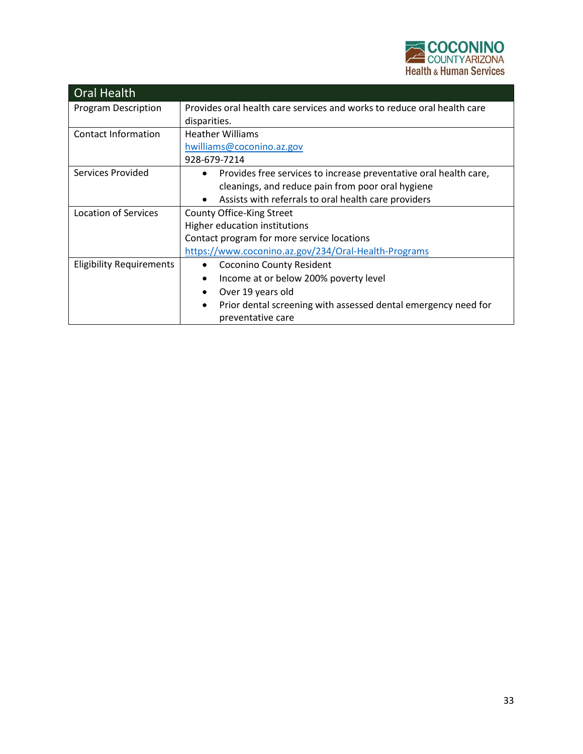

| <b>Oral Health</b>              |                                                                                                  |
|---------------------------------|--------------------------------------------------------------------------------------------------|
| <b>Program Description</b>      | Provides oral health care services and works to reduce oral health care                          |
|                                 | disparities.                                                                                     |
| Contact Information             | <b>Heather Williams</b>                                                                          |
|                                 | hwilliams@coconino.az.gov                                                                        |
|                                 | 928-679-7214                                                                                     |
| Services Provided               | Provides free services to increase preventative oral health care,<br>$\bullet$                   |
|                                 | cleanings, and reduce pain from poor oral hygiene                                                |
|                                 | Assists with referrals to oral health care providers<br>$\bullet$                                |
| <b>Location of Services</b>     | County Office-King Street                                                                        |
|                                 | Higher education institutions                                                                    |
|                                 | Contact program for more service locations                                                       |
|                                 | https://www.coconino.az.gov/234/Oral-Health-Programs                                             |
| <b>Eligibility Requirements</b> | <b>Coconino County Resident</b><br>$\bullet$                                                     |
|                                 | Income at or below 200% poverty level<br>$\bullet$                                               |
|                                 | Over 19 years old<br>$\bullet$                                                                   |
|                                 | Prior dental screening with assessed dental emergency need for<br>$\bullet$<br>preventative care |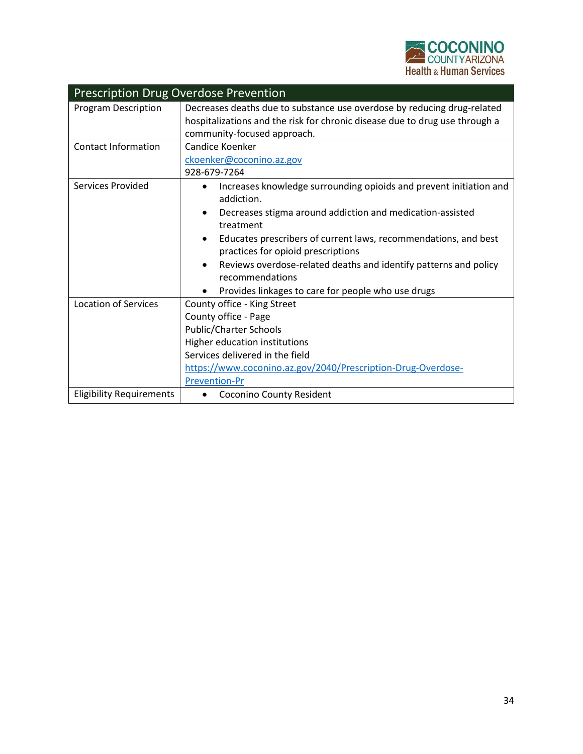

| <b>Prescription Drug Overdose Prevention</b> |                                                                                                                                                                                                                                                                                                                                                                                                                  |  |
|----------------------------------------------|------------------------------------------------------------------------------------------------------------------------------------------------------------------------------------------------------------------------------------------------------------------------------------------------------------------------------------------------------------------------------------------------------------------|--|
| Program Description                          | Decreases deaths due to substance use overdose by reducing drug-related<br>hospitalizations and the risk for chronic disease due to drug use through a<br>community-focused approach.                                                                                                                                                                                                                            |  |
| <b>Contact Information</b>                   | Candice Koenker<br>ckoenker@coconino.az.gov<br>928-679-7264                                                                                                                                                                                                                                                                                                                                                      |  |
| Services Provided                            | Increases knowledge surrounding opioids and prevent initiation and<br>addiction.<br>Decreases stigma around addiction and medication-assisted<br>treatment<br>Educates prescribers of current laws, recommendations, and best<br>practices for opioid prescriptions<br>Reviews overdose-related deaths and identify patterns and policy<br>recommendations<br>Provides linkages to care for people who use drugs |  |
| <b>Location of Services</b>                  | County office - King Street<br>County office - Page<br><b>Public/Charter Schools</b><br>Higher education institutions<br>Services delivered in the field<br>https://www.coconino.az.gov/2040/Prescription-Drug-Overdose-<br><b>Prevention-Pr</b>                                                                                                                                                                 |  |
| <b>Eligibility Requirements</b>              | Coconino County Resident                                                                                                                                                                                                                                                                                                                                                                                         |  |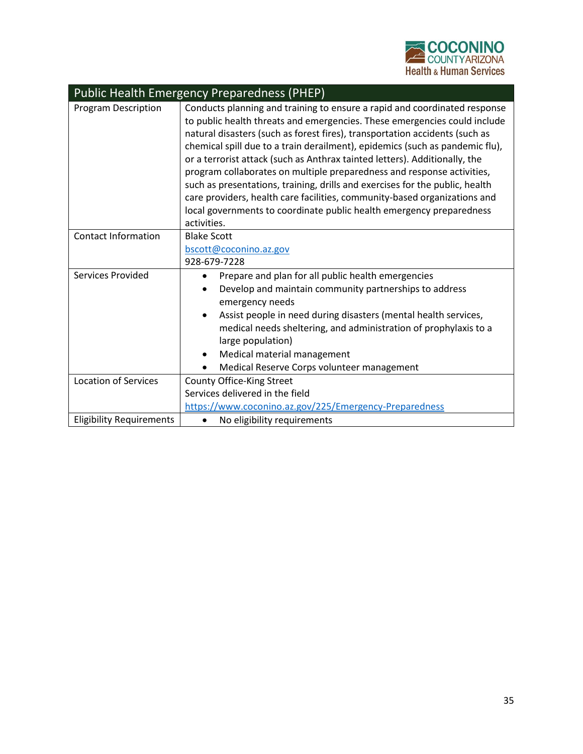

| <b>Public Health Emergency Preparedness (PHEP)</b> |                                                                                                                                                                                                                                                                                                                                                                                                                                                                                                                                                                                                                                                                                                                                   |
|----------------------------------------------------|-----------------------------------------------------------------------------------------------------------------------------------------------------------------------------------------------------------------------------------------------------------------------------------------------------------------------------------------------------------------------------------------------------------------------------------------------------------------------------------------------------------------------------------------------------------------------------------------------------------------------------------------------------------------------------------------------------------------------------------|
| <b>Program Description</b>                         | Conducts planning and training to ensure a rapid and coordinated response<br>to public health threats and emergencies. These emergencies could include<br>natural disasters (such as forest fires), transportation accidents (such as<br>chemical spill due to a train derailment), epidemics (such as pandemic flu),<br>or a terrorist attack (such as Anthrax tainted letters). Additionally, the<br>program collaborates on multiple preparedness and response activities,<br>such as presentations, training, drills and exercises for the public, health<br>care providers, health care facilities, community-based organizations and<br>local governments to coordinate public health emergency preparedness<br>activities. |
| <b>Contact Information</b>                         | <b>Blake Scott</b><br>bscott@coconino.az.gov<br>928-679-7228                                                                                                                                                                                                                                                                                                                                                                                                                                                                                                                                                                                                                                                                      |
| Services Provided                                  | Prepare and plan for all public health emergencies<br>Develop and maintain community partnerships to address<br>emergency needs<br>Assist people in need during disasters (mental health services,<br>medical needs sheltering, and administration of prophylaxis to a<br>large population)<br>Medical material management<br>Medical Reserve Corps volunteer management                                                                                                                                                                                                                                                                                                                                                          |
| <b>Location of Services</b>                        | County Office-King Street<br>Services delivered in the field<br>https://www.coconino.az.gov/225/Emergency-Preparedness                                                                                                                                                                                                                                                                                                                                                                                                                                                                                                                                                                                                            |
| <b>Eligibility Requirements</b>                    | No eligibility requirements                                                                                                                                                                                                                                                                                                                                                                                                                                                                                                                                                                                                                                                                                                       |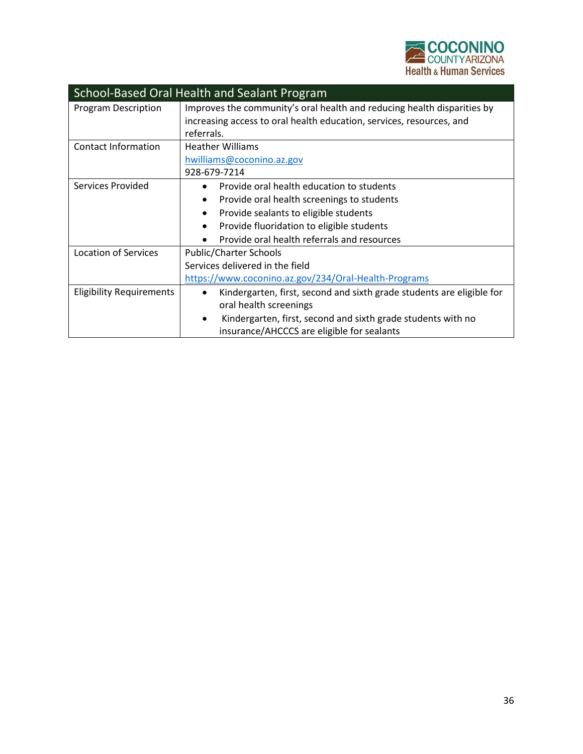

| School-Based Oral Health and Sealant Program |                                                                                    |
|----------------------------------------------|------------------------------------------------------------------------------------|
| <b>Program Description</b>                   | Improves the community's oral health and reducing health disparities by            |
|                                              | increasing access to oral health education, services, resources, and               |
|                                              | referrals.                                                                         |
| Contact Information                          | <b>Heather Williams</b>                                                            |
|                                              | hwilliams@coconino.az.gov                                                          |
|                                              | 928-679-7214                                                                       |
| Services Provided                            | Provide oral health education to students                                          |
|                                              | Provide oral health screenings to students<br>٠                                    |
|                                              | Provide sealants to eligible students<br>٠                                         |
|                                              | Provide fluoridation to eligible students<br>٠                                     |
|                                              | Provide oral health referrals and resources                                        |
| Location of Services                         | <b>Public/Charter Schools</b>                                                      |
|                                              | Services delivered in the field                                                    |
|                                              | https://www.coconino.az.gov/234/Oral-Health-Programs                               |
| <b>Eligibility Requirements</b>              | Kindergarten, first, second and sixth grade students are eligible for<br>$\bullet$ |
|                                              | oral health screenings                                                             |
|                                              | Kindergarten, first, second and sixth grade students with no<br>٠                  |
|                                              | insurance/AHCCCS are eligible for sealants                                         |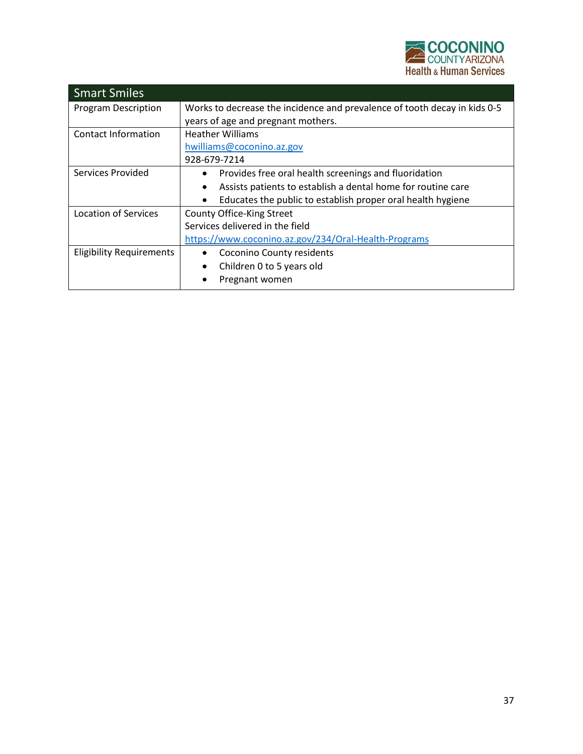

| <b>Smart Smiles</b>             |                                                                           |
|---------------------------------|---------------------------------------------------------------------------|
| <b>Program Description</b>      | Works to decrease the incidence and prevalence of tooth decay in kids 0-5 |
|                                 | years of age and pregnant mothers.                                        |
| Contact Information             | <b>Heather Williams</b>                                                   |
|                                 | hwilliams@coconino.az.gov                                                 |
|                                 | 928-679-7214                                                              |
| <b>Services Provided</b>        | Provides free oral health screenings and fluoridation<br>$\bullet$        |
|                                 | Assists patients to establish a dental home for routine care              |
|                                 | Educates the public to establish proper oral health hygiene               |
| <b>Location of Services</b>     | County Office-King Street                                                 |
|                                 | Services delivered in the field                                           |
|                                 | https://www.coconino.az.gov/234/Oral-Health-Programs                      |
| <b>Eligibility Requirements</b> | Coconino County residents                                                 |
|                                 | Children 0 to 5 years old<br>$\bullet$                                    |
|                                 | Pregnant women                                                            |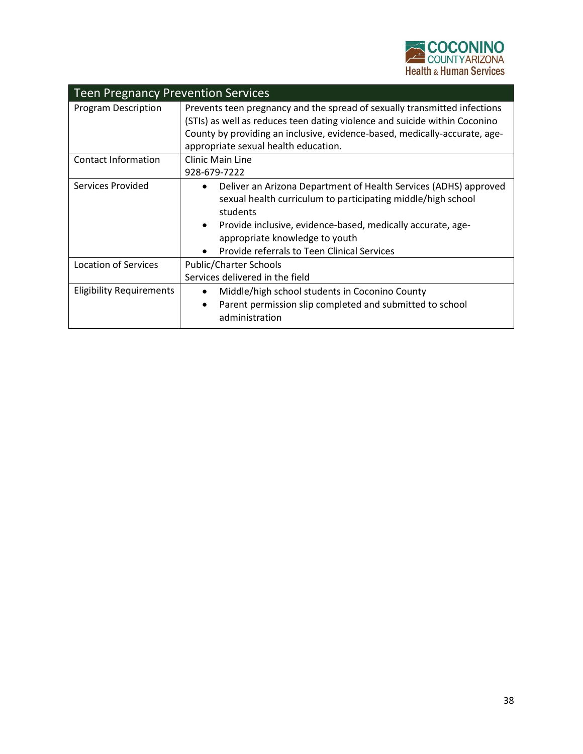

| <b>Teen Pregnancy Prevention Services</b> |                                                                                                                                                                                                                                                                                                           |  |
|-------------------------------------------|-----------------------------------------------------------------------------------------------------------------------------------------------------------------------------------------------------------------------------------------------------------------------------------------------------------|--|
| <b>Program Description</b>                | Prevents teen pregnancy and the spread of sexually transmitted infections<br>(STIs) as well as reduces teen dating violence and suicide within Coconino<br>County by providing an inclusive, evidence-based, medically-accurate, age-<br>appropriate sexual health education.                             |  |
| Contact Information                       | <b>Clinic Main Line</b><br>928-679-7222                                                                                                                                                                                                                                                                   |  |
| Services Provided                         | Deliver an Arizona Department of Health Services (ADHS) approved<br>sexual health curriculum to participating middle/high school<br>students<br>Provide inclusive, evidence-based, medically accurate, age-<br>$\bullet$<br>appropriate knowledge to youth<br>Provide referrals to Teen Clinical Services |  |
| <b>Location of Services</b>               | Public/Charter Schools<br>Services delivered in the field                                                                                                                                                                                                                                                 |  |
| <b>Eligibility Requirements</b>           | Middle/high school students in Coconino County<br>Parent permission slip completed and submitted to school<br>$\bullet$<br>administration                                                                                                                                                                 |  |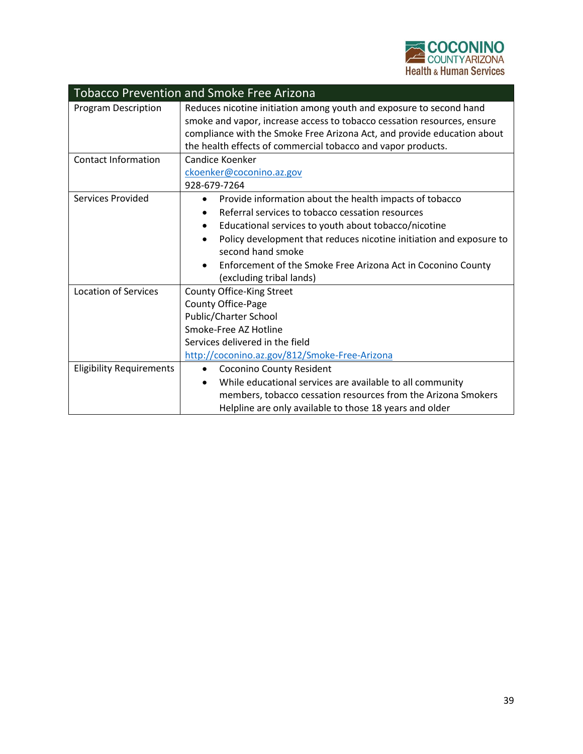

| <b>Tobacco Prevention and Smoke Free Arizona</b> |                                                                                                                                                                                                                                                                                                                                                                                            |
|--------------------------------------------------|--------------------------------------------------------------------------------------------------------------------------------------------------------------------------------------------------------------------------------------------------------------------------------------------------------------------------------------------------------------------------------------------|
| Program Description                              | Reduces nicotine initiation among youth and exposure to second hand<br>smoke and vapor, increase access to tobacco cessation resources, ensure<br>compliance with the Smoke Free Arizona Act, and provide education about<br>the health effects of commercial tobacco and vapor products.                                                                                                  |
| <b>Contact Information</b>                       | Candice Koenker<br>ckoenker@coconino.az.gov<br>928-679-7264                                                                                                                                                                                                                                                                                                                                |
| <b>Services Provided</b>                         | Provide information about the health impacts of tobacco<br>$\bullet$<br>Referral services to tobacco cessation resources<br>Educational services to youth about tobacco/nicotine<br>٠<br>Policy development that reduces nicotine initiation and exposure to<br>$\bullet$<br>second hand smoke<br>Enforcement of the Smoke Free Arizona Act in Coconino County<br>(excluding tribal lands) |
| <b>Location of Services</b>                      | County Office-King Street<br>County Office-Page<br>Public/Charter School<br>Smoke-Free AZ Hotline<br>Services delivered in the field<br>http://coconino.az.gov/812/Smoke-Free-Arizona                                                                                                                                                                                                      |
| <b>Eligibility Requirements</b>                  | Coconino County Resident<br>While educational services are available to all community<br>members, tobacco cessation resources from the Arizona Smokers<br>Helpline are only available to those 18 years and older                                                                                                                                                                          |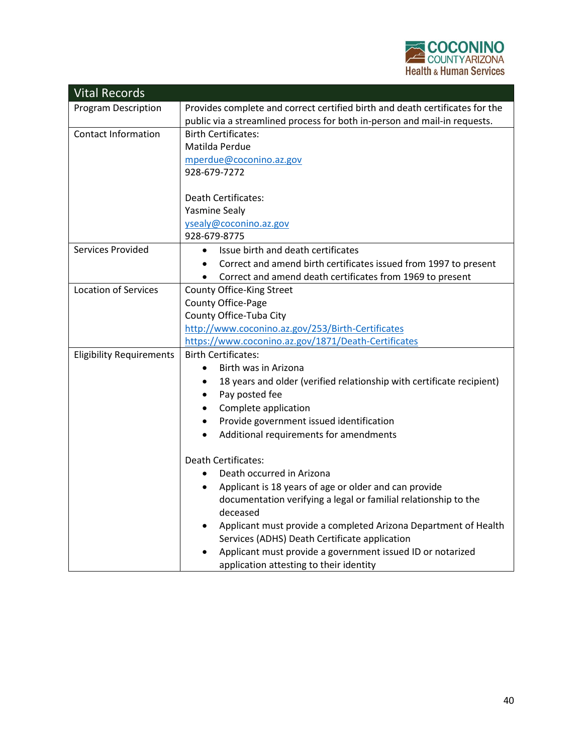

| <b>Vital Records</b>            |                                                                                   |
|---------------------------------|-----------------------------------------------------------------------------------|
| <b>Program Description</b>      | Provides complete and correct certified birth and death certificates for the      |
|                                 | public via a streamlined process for both in-person and mail-in requests.         |
| <b>Contact Information</b>      | <b>Birth Certificates:</b>                                                        |
|                                 | Matilda Perdue                                                                    |
|                                 | mperdue@coconino.az.gov                                                           |
|                                 | 928-679-7272                                                                      |
|                                 | <b>Death Certificates:</b>                                                        |
|                                 | <b>Yasmine Sealy</b>                                                              |
|                                 | ysealy@coconino.az.gov                                                            |
|                                 | 928-679-8775                                                                      |
| Services Provided               | Issue birth and death certificates<br>$\bullet$                                   |
|                                 | Correct and amend birth certificates issued from 1997 to present<br>$\bullet$     |
|                                 | Correct and amend death certificates from 1969 to present<br>$\bullet$            |
| <b>Location of Services</b>     | <b>County Office-King Street</b>                                                  |
|                                 | County Office-Page                                                                |
|                                 | County Office-Tuba City                                                           |
|                                 | http://www.coconino.az.gov/253/Birth-Certificates                                 |
|                                 | https://www.coconino.az.gov/1871/Death-Certificates<br><b>Birth Certificates:</b> |
| <b>Eligibility Requirements</b> | Birth was in Arizona<br>$\bullet$                                                 |
|                                 | 18 years and older (verified relationship with certificate recipient)<br>٠        |
|                                 | Pay posted fee<br>$\bullet$                                                       |
|                                 | Complete application<br>$\bullet$                                                 |
|                                 | Provide government issued identification<br>$\bullet$                             |
|                                 | Additional requirements for amendments<br>$\bullet$                               |
|                                 |                                                                                   |
|                                 | <b>Death Certificates:</b>                                                        |
|                                 | Death occurred in Arizona<br>$\bullet$                                            |
|                                 | Applicant is 18 years of age or older and can provide<br>$\bullet$                |
|                                 | documentation verifying a legal or familial relationship to the<br>deceased       |
|                                 | Applicant must provide a completed Arizona Department of Health                   |
|                                 | Services (ADHS) Death Certificate application                                     |
|                                 | Applicant must provide a government issued ID or notarized                        |
|                                 | application attesting to their identity                                           |